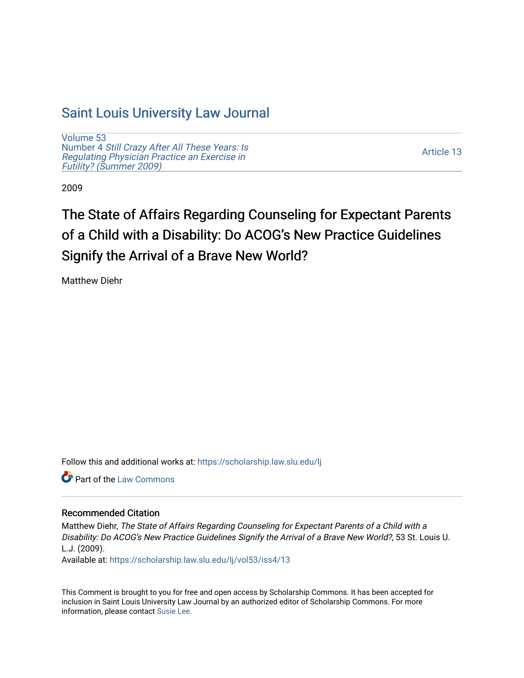## [Saint Louis University Law Journal](https://scholarship.law.slu.edu/lj)

[Volume 53](https://scholarship.law.slu.edu/lj/vol53) Number 4 [Still Crazy After All These Years: Is](https://scholarship.law.slu.edu/lj/vol53/iss4)  [Regulating Physician Practice an Exercise in](https://scholarship.law.slu.edu/lj/vol53/iss4) [Futility? \(Summer 2009\)](https://scholarship.law.slu.edu/lj/vol53/iss4) 

[Article 13](https://scholarship.law.slu.edu/lj/vol53/iss4/13) 

2009

# The State of Affairs Regarding Counseling for Expectant Parents of a Child with a Disability: Do ACOG's New Practice Guidelines Signify the Arrival of a Brave New World?

Matthew Diehr

Follow this and additional works at: [https://scholarship.law.slu.edu/lj](https://scholarship.law.slu.edu/lj?utm_source=scholarship.law.slu.edu%2Flj%2Fvol53%2Fiss4%2F13&utm_medium=PDF&utm_campaign=PDFCoverPages) 

**C** Part of the [Law Commons](http://network.bepress.com/hgg/discipline/578?utm_source=scholarship.law.slu.edu%2Flj%2Fvol53%2Fiss4%2F13&utm_medium=PDF&utm_campaign=PDFCoverPages)

### Recommended Citation

Matthew Diehr, The State of Affairs Regarding Counseling for Expectant Parents of a Child with a Disability: Do ACOG's New Practice Guidelines Signify the Arrival of a Brave New World?, 53 St. Louis U. L.J. (2009).

Available at: [https://scholarship.law.slu.edu/lj/vol53/iss4/13](https://scholarship.law.slu.edu/lj/vol53/iss4/13?utm_source=scholarship.law.slu.edu%2Flj%2Fvol53%2Fiss4%2F13&utm_medium=PDF&utm_campaign=PDFCoverPages)

This Comment is brought to you for free and open access by Scholarship Commons. It has been accepted for inclusion in Saint Louis University Law Journal by an authorized editor of Scholarship Commons. For more information, please contact [Susie Lee](mailto:susie.lee@slu.edu).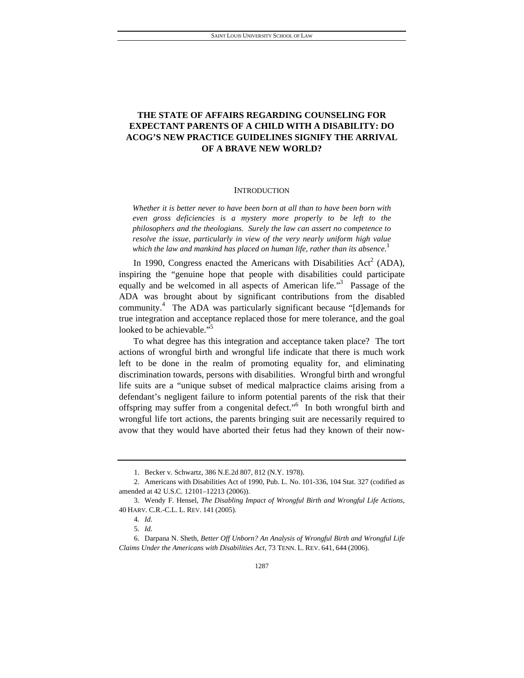### **THE STATE OF AFFAIRS REGARDING COUNSELING FOR EXPECTANT PARENTS OF A CHILD WITH A DISABILITY: DO ACOG'S NEW PRACTICE GUIDELINES SIGNIFY THE ARRIVAL OF A BRAVE NEW WORLD?**

### **INTRODUCTION**

*Whether it is better never to have been born at all than to have been born with even gross deficiencies is a mystery more properly to be left to the philosophers and the theologians. Surely the law can assert no competence to resolve the issue, particularly in view of the very nearly uniform high value which the law and mankind has placed on human life, rather than its absence*. 1

In 1990, Congress enacted the Americans with Disabilities Act<sup>2</sup> (ADA), inspiring the "genuine hope that people with disabilities could participate equally and be welcomed in all aspects of American life."<sup>3</sup> Passage of the ADA was brought about by significant contributions from the disabled community.<sup>4</sup> The ADA was particularly significant because "[d]emands for true integration and acceptance replaced those for mere tolerance, and the goal looked to be achievable."<sup>5</sup>

To what degree has this integration and acceptance taken place? The tort actions of wrongful birth and wrongful life indicate that there is much work left to be done in the realm of promoting equality for, and eliminating discrimination towards, persons with disabilities. Wrongful birth and wrongful life suits are a "unique subset of medical malpractice claims arising from a defendant's negligent failure to inform potential parents of the risk that their offspring may suffer from a congenital defect."<sup>6</sup> In both wrongful birth and wrongful life tort actions, the parents bringing suit are necessarily required to avow that they would have aborted their fetus had they known of their now-

 <sup>1.</sup> Becker v. Schwartz, 386 N.E.2d 807, 812 (N.Y. 1978).

 <sup>2.</sup> Americans with Disabilities Act of 1990, Pub. L. No. 101-336, 104 Stat. 327 (codified as amended at 42 U.S.C. 12101–12213 (2006)).

 <sup>3.</sup> Wendy F. Hensel, *The Disabling Impact of Wrongful Birth and Wrongful Life Actions*, 40 HARV. C.R.-C.L. L. REV. 141 (2005).

<sup>4</sup>*. Id.*

<sup>5</sup>*. Id.*

 <sup>6.</sup> Darpana N. Sheth, *Better Off Unborn? An Analysis of Wrongful Birth and Wrongful Life Claims Under the Americans with Disabilities Act*, 73 TENN. L. REV. 641, 644 (2006).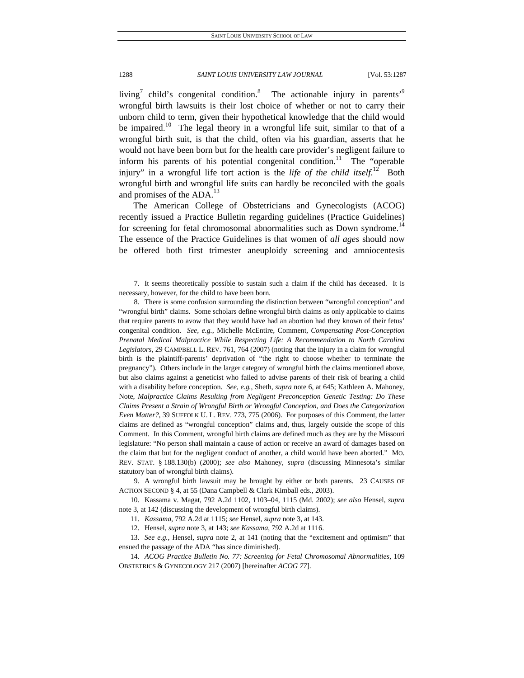living<sup>7</sup> child's congenital condition.<sup>8</sup> The actionable injury in parents<sup>9</sup> wrongful birth lawsuits is their lost choice of whether or not to carry their unborn child to term, given their hypothetical knowledge that the child would be impaired.<sup>10</sup> The legal theory in a wrongful life suit, similar to that of a wrongful birth suit, is that the child, often via his guardian, asserts that he would not have been born but for the health care provider's negligent failure to inform his parents of his potential congenital condition.<sup>11</sup> The "operable" injury" in a wrongful life tort action is the *life of the child itself*.<sup>12</sup> Both wrongful birth and wrongful life suits can hardly be reconciled with the goals and promises of the ADA.<sup>13</sup>

The American College of Obstetricians and Gynecologists (ACOG) recently issued a Practice Bulletin regarding guidelines (Practice Guidelines) for screening for fetal chromosomal abnormalities such as Down syndrome.<sup>14</sup> The essence of the Practice Guidelines is that women of *all ages* should now be offered both first trimester aneuploidy screening and amniocentesis

 10. Kassama v. Magat, 792 A.2d 1102, 1103–04, 1115 (Md. 2002); *see also* Hensel, *supra* note 3, at 142 (discussing the development of wrongful birth claims).

 <sup>7.</sup> It seems theoretically possible to sustain such a claim if the child has deceased. It is necessary, however, for the child to have been born.

 <sup>8.</sup> There is some confusion surrounding the distinction between "wrongful conception" and "wrongful birth" claims. Some scholars define wrongful birth claims as only applicable to claims that require parents to avow that they would have had an abortion had they known of their fetus' congenital condition. *See, e.g.*, Michelle McEntire, Comment, *Compensating Post-Conception Prenatal Medical Malpractice While Respecting Life: A Recommendation to North Carolina Legislators*, 29 CAMPBELL L. REV. 761, 764 (2007) (noting that the injury in a claim for wrongful birth is the plaintiff-parents' deprivation of "the right to choose whether to terminate the pregnancy"). Others include in the larger category of wrongful birth the claims mentioned above, but also claims against a geneticist who failed to advise parents of their risk of bearing a child with a disability before conception. *See, e.g.*, Sheth, *supra* note 6, at 645; Kathleen A. Mahoney, Note, *Malpractice Claims Resulting from Negligent Preconception Genetic Testing: Do These Claims Present a Strain of Wrongful Birth or Wrongful Conception, and Does the Categorization Even Matter?*, 39 SUFFOLK U. L. REV. 773, 775 (2006). For purposes of this Comment, the latter claims are defined as "wrongful conception" claims and, thus, largely outside the scope of this Comment. In this Comment, wrongful birth claims are defined much as they are by the Missouri legislature: "No person shall maintain a cause of action or receive an award of damages based on the claim that but for the negligent conduct of another, a child would have been aborted." MO. REV. STAT. § 188.130(b) (2000); *see also* Mahoney, *supra* (discussing Minnesota's similar statutory ban of wrongful birth claims).

 <sup>9.</sup> A wrongful birth lawsuit may be brought by either or both parents. 23 CAUSES OF ACTION SECOND § 4, at 55 (Dana Campbell & Clark Kimball eds., 2003).

<sup>11</sup>*. Kassama*, 792 A.2d at 1115; *see* Hensel, *supra* note 3, at 143.

 <sup>12.</sup> Hensel, *supra* note 3, at 143; *see Kassama*, 792 A.2d at 1116.

<sup>13</sup>*. See e.g.*, Hensel, *supra* note 2, at 141 (noting that the "excitement and optimism" that ensued the passage of the ADA "has since diminished).

<sup>14</sup>*. ACOG Practice Bulletin No. 77: Screening for Fetal Chromosomal Abnormalities*, 109 OBSTETRICS & GYNECOLOGY 217 (2007) [hereinafter *ACOG 77*].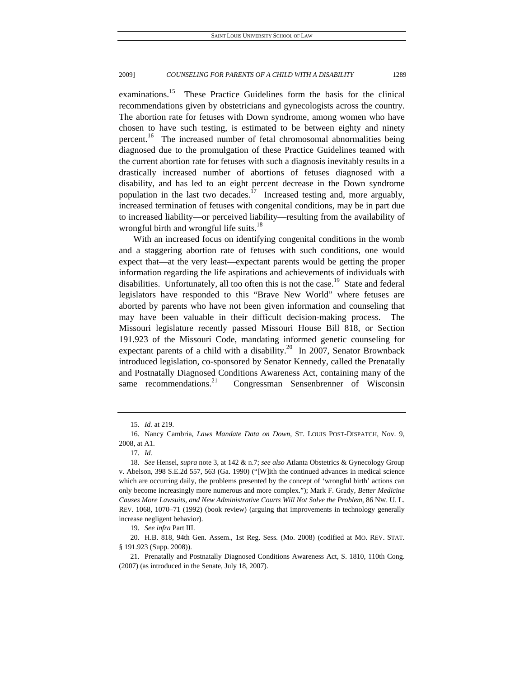examinations.<sup>15</sup> These Practice Guidelines form the basis for the clinical recommendations given by obstetricians and gynecologists across the country. The abortion rate for fetuses with Down syndrome, among women who have chosen to have such testing, is estimated to be between eighty and ninety percent.16 The increased number of fetal chromosomal abnormalities being diagnosed due to the promulgation of these Practice Guidelines teamed with the current abortion rate for fetuses with such a diagnosis inevitably results in a drastically increased number of abortions of fetuses diagnosed with a disability, and has led to an eight percent decrease in the Down syndrome population in the last two decades.<sup>17</sup> Increased testing and, more arguably, increased termination of fetuses with congenital conditions, may be in part due to increased liability—or perceived liability—resulting from the availability of wrongful birth and wrongful life suits.<sup>18</sup>

With an increased focus on identifying congenital conditions in the womb and a staggering abortion rate of fetuses with such conditions, one would expect that—at the very least—expectant parents would be getting the proper information regarding the life aspirations and achievements of individuals with disabilities. Unfortunately, all too often this is not the case.<sup>19</sup> State and federal legislators have responded to this "Brave New World" where fetuses are aborted by parents who have not been given information and counseling that may have been valuable in their difficult decision-making process. The Missouri legislature recently passed Missouri House Bill 818, or Section 191.923 of the Missouri Code, mandating informed genetic counseling for expectant parents of a child with a disability.<sup>20</sup> In 2007, Senator Brownback introduced legislation, co-sponsored by Senator Kennedy, called the Prenatally and Postnatally Diagnosed Conditions Awareness Act, containing many of the same recommendations.<sup>21</sup> Congressman Sensenbrenner of Wisconsin

 20. H.B. 818, 94th Gen. Assem., 1st Reg. Sess. (Mo. 2008) (codified at MO. REV. STAT. § 191.923 (Supp. 2008)).

<sup>15</sup>*. Id.* at 219.

 <sup>16.</sup> Nancy Cambria, *Laws Mandate Data on Down*, ST. LOUIS POST-DISPATCH, Nov. 9, 2008, at A1.

<sup>17</sup>*. Id.*

<sup>18</sup>*. See* Hensel, *supra* note 3, at 142 & n.7; *see also* Atlanta Obstetrics & Gynecology Group v. Abelson, 398 S.E.2d 557, 563 (Ga. 1990) ("[W]ith the continued advances in medical science which are occurring daily, the problems presented by the concept of 'wrongful birth' actions can only become increasingly more numerous and more complex."); Mark F. Grady, *Better Medicine Causes More Lawsuits, and New Administrative Courts Will Not Solve the Problem*, 86 NW. U. L. REV. 1068, 1070–71 (1992) (book review) (arguing that improvements in technology generally increase negligent behavior).

<sup>19</sup>*. See infra* Part III.

 <sup>21.</sup> Prenatally and Postnatally Diagnosed Conditions Awareness Act, S. 1810, 110th Cong. (2007) (as introduced in the Senate, July 18, 2007).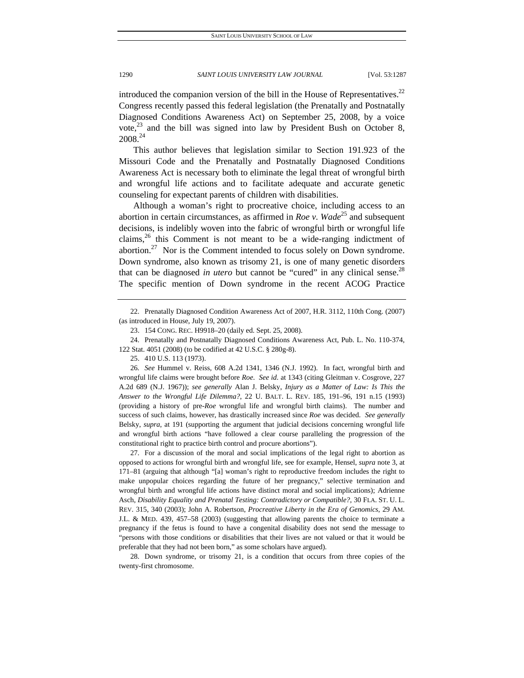introduced the companion version of the bill in the House of Representatives.<sup>22</sup> Congress recently passed this federal legislation (the Prenatally and Postnatally Diagnosed Conditions Awareness Act) on September 25, 2008, by a voice vote, $^{23}$  and the bill was signed into law by President Bush on October 8,  $2008.<sup>24</sup>$ 

This author believes that legislation similar to Section 191.923 of the Missouri Code and the Prenatally and Postnatally Diagnosed Conditions Awareness Act is necessary both to eliminate the legal threat of wrongful birth and wrongful life actions and to facilitate adequate and accurate genetic counseling for expectant parents of children with disabilities.

Although a woman's right to procreative choice, including access to an abortion in certain circumstances, as affirmed in *Roe v. Wade*<sup>25</sup> and subsequent decisions, is indelibly woven into the fabric of wrongful birth or wrongful life claims,  $26$  this Comment is not meant to be a wide-ranging indictment of abortion. $27$  Nor is the Comment intended to focus solely on Down syndrome. Down syndrome, also known as trisomy 21, is one of many genetic disorders that can be diagnosed *in utero* but cannot be "cured" in any clinical sense.<sup>28</sup> The specific mention of Down syndrome in the recent ACOG Practice

25. 410 U.S. 113 (1973).

26*. See* Hummel v. Reiss, 608 A.2d 1341, 1346 (N.J. 1992). In fact, wrongful birth and wrongful life claims were brought before *Roe*. *See id*. at 1343 (citing Gleitman v. Cosgrove, 227 A.2d 689 (N.J. 1967)); *see generally* Alan J. Belsky, *Injury as a Matter of Law: Is This the Answer to the Wrongful Life Dilemma?*, 22 U. BALT. L. REV. 185, 191–96, 191 n.15 (1993) (providing a history of pre-*Roe* wrongful life and wrongful birth claims). The number and success of such claims, however, has drastically increased since *Roe* was decided. *See generally* Belsky, *supra*, at 191 (supporting the argument that judicial decisions concerning wrongful life and wrongful birth actions "have followed a clear course paralleling the progression of the constitutional right to practice birth control and procure abortions").

 27. For a discussion of the moral and social implications of the legal right to abortion as opposed to actions for wrongful birth and wrongful life, see for example, Hensel, *supra* note 3, at 171–81 (arguing that although "[a] woman's right to reproductive freedom includes the right to make unpopular choices regarding the future of her pregnancy," selective termination and wrongful birth and wrongful life actions have distinct moral and social implications); Adrienne Asch, *Disability Equality and Prenatal Testing: Contradictory or Compatible?*, 30 FLA. ST. U. L. REV. 315, 340 (2003); John A. Robertson, *Procreative Liberty in the Era of Genomics*, 29 AM. J.L. & MED. 439, 457–58 (2003) (suggesting that allowing parents the choice to terminate a pregnancy if the fetus is found to have a congenital disability does not send the message to "persons with those conditions or disabilities that their lives are not valued or that it would be preferable that they had not been born," as some scholars have argued).

 28. Down syndrome, or trisomy 21, is a condition that occurs from three copies of the twenty-first chromosome.

 <sup>22.</sup> Prenatally Diagnosed Condition Awareness Act of 2007, H.R. 3112, 110th Cong. (2007) (as introduced in House, July 19, 2007).

 <sup>23. 154</sup> CONG. REC. H9918–20 (daily ed. Sept. 25, 2008).

 <sup>24.</sup> Prenatally and Postnatally Diagnosed Conditions Awareness Act, Pub. L. No. 110-374, 122 Stat. 4051 (2008) (to be codified at 42 U.S.C. § 280g-8).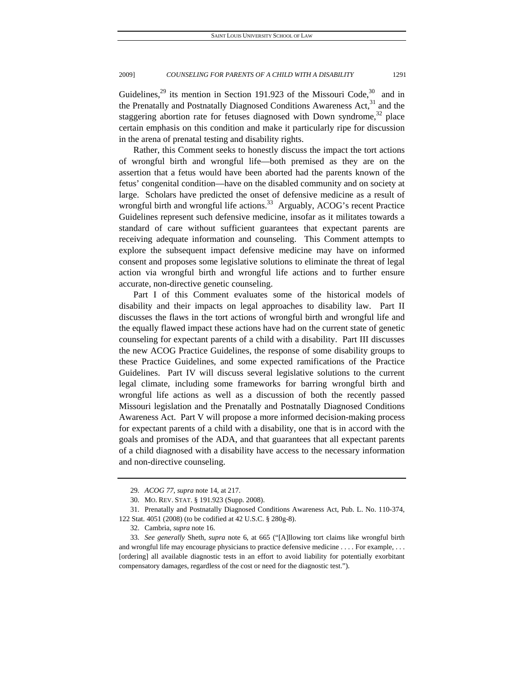Guidelines,<sup>29</sup> its mention in Section 191.923 of the Missouri Code,<sup>30</sup> and in the Prenatally and Postnatally Diagnosed Conditions Awareness  $Act<sub>1</sub><sup>31</sup>$  and the staggering abortion rate for fetuses diagnosed with Down syndrome, $32$  place certain emphasis on this condition and make it particularly ripe for discussion in the arena of prenatal testing and disability rights.

Rather, this Comment seeks to honestly discuss the impact the tort actions of wrongful birth and wrongful life—both premised as they are on the assertion that a fetus would have been aborted had the parents known of the fetus' congenital condition—have on the disabled community and on society at large. Scholars have predicted the onset of defensive medicine as a result of wrongful birth and wrongful life actions.<sup>33</sup> Arguably, ACOG's recent Practice Guidelines represent such defensive medicine, insofar as it militates towards a standard of care without sufficient guarantees that expectant parents are receiving adequate information and counseling. This Comment attempts to explore the subsequent impact defensive medicine may have on informed consent and proposes some legislative solutions to eliminate the threat of legal action via wrongful birth and wrongful life actions and to further ensure accurate, non-directive genetic counseling.

Part I of this Comment evaluates some of the historical models of disability and their impacts on legal approaches to disability law. Part II discusses the flaws in the tort actions of wrongful birth and wrongful life and the equally flawed impact these actions have had on the current state of genetic counseling for expectant parents of a child with a disability. Part III discusses the new ACOG Practice Guidelines, the response of some disability groups to these Practice Guidelines, and some expected ramifications of the Practice Guidelines. Part IV will discuss several legislative solutions to the current legal climate, including some frameworks for barring wrongful birth and wrongful life actions as well as a discussion of both the recently passed Missouri legislation and the Prenatally and Postnatally Diagnosed Conditions Awareness Act. Part V will propose a more informed decision-making process for expectant parents of a child with a disability, one that is in accord with the goals and promises of the ADA, and that guarantees that all expectant parents of a child diagnosed with a disability have access to the necessary information and non-directive counseling.

<sup>29</sup>*. ACOG 77*, *supra* note 14, at 217.

 <sup>30.</sup> MO. REV. STAT. § 191.923 (Supp. 2008).

 <sup>31.</sup> Prenatally and Postnatally Diagnosed Conditions Awareness Act, Pub. L. No. 110-374, 122 Stat. 4051 (2008) (to be codified at 42 U.S.C. § 280g-8).

 <sup>32.</sup> Cambria, *supra* note 16.

<sup>33</sup>*. See generally* Sheth, *supra* note 6, at 665 ("[A]llowing tort claims like wrongful birth and wrongful life may encourage physicians to practice defensive medicine . . . . For example, . . . [ordering] all available diagnostic tests in an effort to avoid liability for potentially exorbitant compensatory damages, regardless of the cost or need for the diagnostic test.").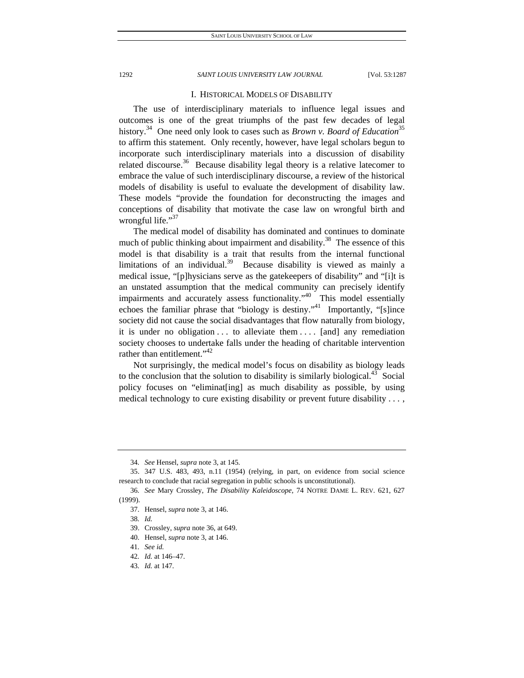### I. HISTORICAL MODELS OF DISABILITY

The use of interdisciplinary materials to influence legal issues and outcomes is one of the great triumphs of the past few decades of legal history.<sup>34</sup> One need only look to cases such as *Brown v. Board of Education*<sup>35</sup> to affirm this statement. Only recently, however, have legal scholars begun to incorporate such interdisciplinary materials into a discussion of disability related discourse.<sup>36</sup> Because disability legal theory is a relative latecomer to embrace the value of such interdisciplinary discourse, a review of the historical models of disability is useful to evaluate the development of disability law. These models "provide the foundation for deconstructing the images and conceptions of disability that motivate the case law on wrongful birth and wrongful life." $37$ 

The medical model of disability has dominated and continues to dominate much of public thinking about impairment and disability.<sup>38</sup> The essence of this model is that disability is a trait that results from the internal functional limitations of an individual.<sup>39</sup> Because disability is viewed as mainly a medical issue, "[p]hysicians serve as the gatekeepers of disability" and "[i]t is an unstated assumption that the medical community can precisely identify impairments and accurately assess functionality."<sup>40</sup> This model essentially echoes the familiar phrase that "biology is destiny."<sup>41</sup> Importantly, "[s]ince society did not cause the social disadvantages that flow naturally from biology, it is under no obligation  $\dots$  to alleviate them  $\dots$  [and] any remediation society chooses to undertake falls under the heading of charitable intervention rather than entitlement."<sup>42</sup>

Not surprisingly, the medical model's focus on disability as biology leads to the conclusion that the solution to disability is similarly biological.<sup>43</sup> Social policy focuses on "eliminat[ing] as much disability as possible, by using medical technology to cure existing disability or prevent future disability . . . ,

<sup>34</sup>*. See* Hensel, *supra* note 3, at 145.

 <sup>35. 347</sup> U.S. 483, 493, n.11 (1954) (relying, in part, on evidence from social science research to conclude that racial segregation in public schools is unconstitutional).

<sup>36</sup>*. See* Mary Crossley, *The Disability Kaleidoscope*, 74 NOTRE DAME L. REV. 621, 627 (1999).

 <sup>37.</sup> Hensel, *supra* note 3, at 146.

<sup>38</sup>*. Id.*

 <sup>39.</sup> Crossley, *supra* note 36, at 649.

 <sup>40.</sup> Hensel, *supra* note 3, at 146.

<sup>41</sup>*. See id.*

<sup>42</sup>*. Id.* at 146–47.

<sup>43</sup>*. Id.* at 147.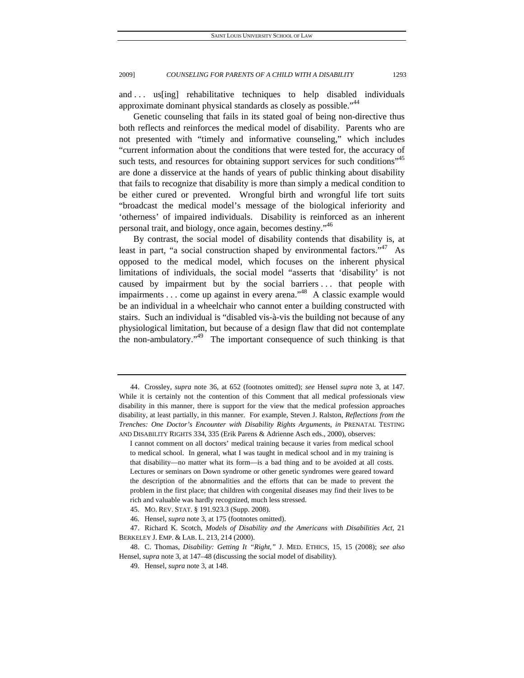and ... us[ing] rehabilitative techniques to help disabled individuals approximate dominant physical standards as closely as possible."<sup>44</sup>

Genetic counseling that fails in its stated goal of being non-directive thus both reflects and reinforces the medical model of disability. Parents who are not presented with "timely and informative counseling," which includes "current information about the conditions that were tested for, the accuracy of such tests, and resources for obtaining support services for such conditions<sup>"45</sup> are done a disservice at the hands of years of public thinking about disability that fails to recognize that disability is more than simply a medical condition to be either cured or prevented. Wrongful birth and wrongful life tort suits "broadcast the medical model's message of the biological inferiority and 'otherness' of impaired individuals. Disability is reinforced as an inherent personal trait, and biology, once again, becomes destiny."46

By contrast, the social model of disability contends that disability is, at least in part, "a social construction shaped by environmental factors."<sup>47</sup> As opposed to the medical model, which focuses on the inherent physical limitations of individuals, the social model "asserts that 'disability' is not caused by impairment but by the social barriers . . . that people with impairments  $\dots$  come up against in every arena."<sup>48</sup> A classic example would be an individual in a wheelchair who cannot enter a building constructed with stairs. Such an individual is "disabled vis-à-vis the building not because of any physiological limitation, but because of a design flaw that did not contemplate the non-ambulatory."<sup>49</sup> The important consequence of such thinking is that

 <sup>44.</sup> Crossley, *supra* note 36, at 652 (footnotes omitted); *see* Hensel *supra* note 3, at 147. While it is certainly not the contention of this Comment that all medical professionals view disability in this manner, there is support for the view that the medical profession approaches disability, at least partially, in this manner. For example, Steven J. Ralston, *Reflections from the Trenches: One Doctor's Encounter with Disability Rights Arguments*, *in* PRENATAL TESTING AND DISABILITY RIGHTS 334, 335 (Erik Parens & Adrienne Asch eds., 2000), observes:

I cannot comment on all doctors' medical training because it varies from medical school to medical school. In general, what I was taught in medical school and in my training is that disability—no matter what its form—is a bad thing and to be avoided at all costs. Lectures or seminars on Down syndrome or other genetic syndromes were geared toward the description of the abnormalities and the efforts that can be made to prevent the problem in the first place; that children with congenital diseases may find their lives to be rich and valuable was hardly recognized, much less stressed.

 <sup>45.</sup> MO. REV. STAT. § 191.923.3 (Supp. 2008).

 <sup>46.</sup> Hensel, *supra* note 3, at 175 (footnotes omitted).

 <sup>47.</sup> Richard K. Scotch, *Models of Disability and the Americans with Disabilities Act*, 21 BERKELEY J. EMP. & LAB. L. 213, 214 (2000).

 <sup>48.</sup> C. Thomas, *Disability: Getting It "Right*,*"* J. MED. ETHICS, 15, 15 (2008); *see also* Hensel, *supra* note 3, at 147–48 (discussing the social model of disability).

 <sup>49.</sup> Hensel, *supra* note 3, at 148.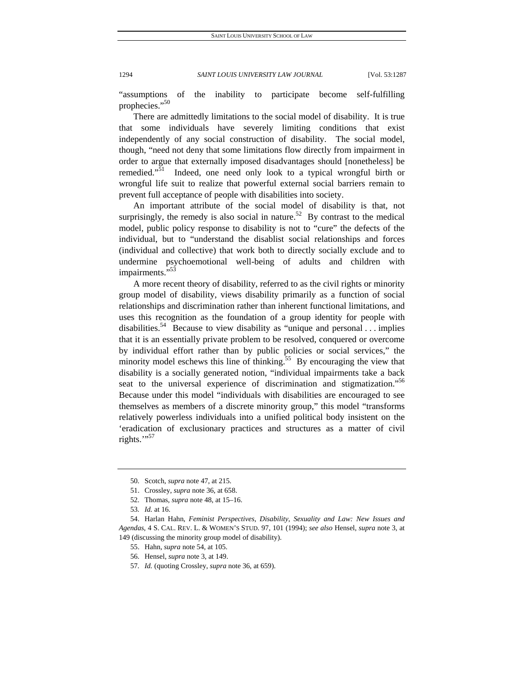"assumptions of the inability to participate become self-fulfilling prophecies."50

There are admittedly limitations to the social model of disability. It is true that some individuals have severely limiting conditions that exist independently of any social construction of disability. The social model, though, "need not deny that some limitations flow directly from impairment in order to argue that externally imposed disadvantages should [nonetheless] be remedied."<sup>51</sup> Indeed, one need only look to a typical wrongful birth or wrongful life suit to realize that powerful external social barriers remain to prevent full acceptance of people with disabilities into society.

An important attribute of the social model of disability is that, not surprisingly, the remedy is also social in nature.<sup>52</sup> By contrast to the medical model, public policy response to disability is not to "cure" the defects of the individual, but to "understand the disablist social relationships and forces (individual and collective) that work both to directly socially exclude and to undermine psychoemotional well-being of adults and children with impairments."<sup>53</sup>

A more recent theory of disability, referred to as the civil rights or minority group model of disability, views disability primarily as a function of social relationships and discrimination rather than inherent functional limitations, and uses this recognition as the foundation of a group identity for people with disabilities.<sup>54</sup> Because to view disability as "unique and personal . . . implies that it is an essentially private problem to be resolved, conquered or overcome by individual effort rather than by public policies or social services," the minority model eschews this line of thinking.<sup>55</sup> By encouraging the view that disability is a socially generated notion, "individual impairments take a back seat to the universal experience of discrimination and stigmatization."<sup>56</sup> Because under this model "individuals with disabilities are encouraged to see themselves as members of a discrete minority group," this model "transforms relatively powerless individuals into a unified political body insistent on the 'eradication of exclusionary practices and structures as a matter of civil rights. $\cdot$ "<sup>57</sup>

 <sup>50.</sup> Scotch, *supra* note 47, at 215.

 <sup>51.</sup> Crossley, *supra* note 36, at 658.

 <sup>52.</sup> Thomas, *supra* note 48, at 15–16.

<sup>53</sup>*. Id.* at 16.

 <sup>54.</sup> Harlan Hahn, *Feminist Perspectives, Disability, Sexuality and Law: New Issues and Agendas*, 4 S. CAL. REV. L. & WOMEN'S STUD. 97, 101 (1994); *see also* Hensel, *supra* note 3, at 149 (discussing the minority group model of disability).

 <sup>55.</sup> Hahn, *supra* note 54, at 105.

 <sup>56.</sup> Hensel, *supra* note 3, at 149.

<sup>57</sup>*. Id.* (quoting Crossley, *supra* note 36, at 659).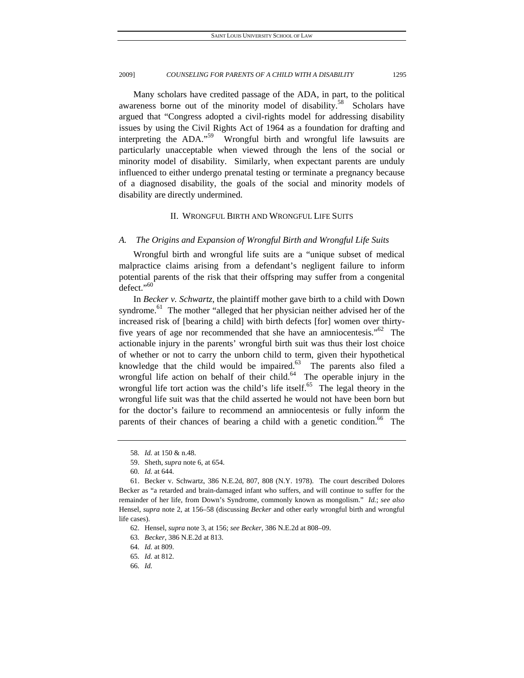Many scholars have credited passage of the ADA, in part, to the political awareness borne out of the minority model of disability.<sup>58</sup> Scholars have argued that "Congress adopted a civil-rights model for addressing disability issues by using the Civil Rights Act of 1964 as a foundation for drafting and interpreting the ADA."<sup>59</sup> Wrongful birth and wrongful life lawsuits are particularly unacceptable when viewed through the lens of the social or minority model of disability. Similarly, when expectant parents are unduly influenced to either undergo prenatal testing or terminate a pregnancy because of a diagnosed disability, the goals of the social and minority models of disability are directly undermined.

### II. WRONGFUL BIRTH AND WRONGFUL LIFE SUITS

### *A. The Origins and Expansion of Wrongful Birth and Wrongful Life Suits*

Wrongful birth and wrongful life suits are a "unique subset of medical malpractice claims arising from a defendant's negligent failure to inform potential parents of the risk that their offspring may suffer from a congenital defect."<sup>60</sup>

In *Becker v. Schwartz*, the plaintiff mother gave birth to a child with Down syndrome.<sup>61</sup> The mother "alleged that her physician neither advised her of the increased risk of [bearing a child] with birth defects [for] women over thirtyfive years of age nor recommended that she have an amniocentesis."<sup>62</sup> The actionable injury in the parents' wrongful birth suit was thus their lost choice of whether or not to carry the unborn child to term, given their hypothetical knowledge that the child would be impaired. $63$  The parents also filed a wrongful life action on behalf of their child. $64$  The operable injury in the wrongful life tort action was the child's life itself.<sup>65</sup> The legal theory in the wrongful life suit was that the child asserted he would not have been born but for the doctor's failure to recommend an amniocentesis or fully inform the parents of their chances of bearing a child with a genetic condition.<sup>66</sup> The

66*. Id.*

<sup>58</sup>*. Id.* at 150 & n.48.

 <sup>59.</sup> Sheth, *supra* note 6, at 654.

<sup>60</sup>*. Id.* at 644.

 <sup>61.</sup> Becker v. Schwartz, 386 N.E.2d, 807, 808 (N.Y. 1978). The court described Dolores Becker as "a retarded and brain-damaged infant who suffers, and will continue to suffer for the remainder of her life, from Down's Syndrome, commonly known as mongolism." *Id.*; *see also* Hensel, *supra* note 2, at 156–58 (discussing *Becker* and other early wrongful birth and wrongful life cases).

 <sup>62.</sup> Hensel, *supra* note 3, at 156; *see Becker*, 386 N.E.2d at 808–09.

<sup>63</sup>*. Becker*, 386 N.E.2d at 813.

<sup>64</sup>*. Id.* at 809.

<sup>65</sup>*. Id.* at 812.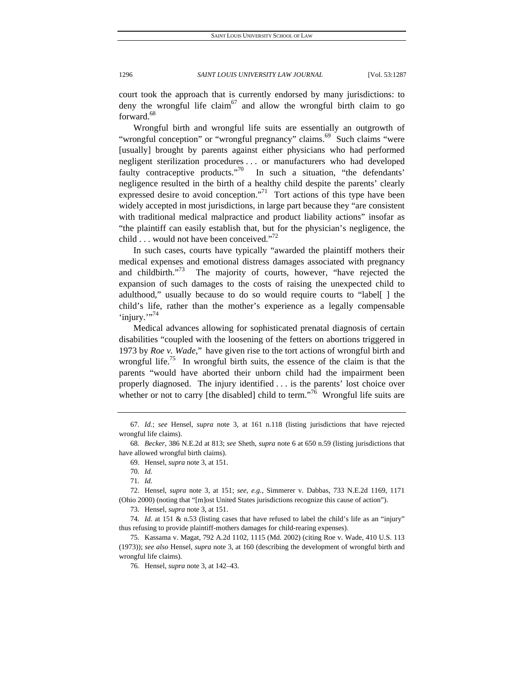court took the approach that is currently endorsed by many jurisdictions: to deny the wrongful life claim<sup>67</sup> and allow the wrongful birth claim to go forward.<sup>68</sup>

Wrongful birth and wrongful life suits are essentially an outgrowth of "wrongful conception" or "wrongful pregnancy" claims.<sup>69</sup> Such claims "were [usually] brought by parents against either physicians who had performed negligent sterilization procedures . . . or manufacturers who had developed faulty contraceptive products."70 In such a situation, "the defendants' negligence resulted in the birth of a healthy child despite the parents' clearly expressed desire to avoid conception."<sup>71</sup> Tort actions of this type have been widely accepted in most jurisdictions, in large part because they "are consistent with traditional medical malpractice and product liability actions" insofar as "the plaintiff can easily establish that, but for the physician's negligence, the child  $\dots$  would not have been conceived."<sup>72</sup>

In such cases, courts have typically "awarded the plaintiff mothers their medical expenses and emotional distress damages associated with pregnancy and childbirth. $173$  The majority of courts, however, "have rejected the expansion of such damages to the costs of raising the unexpected child to adulthood," usually because to do so would require courts to "label[ ] the child's life, rather than the mother's experience as a legally compensable 'injury."<sup>74</sup>

Medical advances allowing for sophisticated prenatal diagnosis of certain disabilities "coupled with the loosening of the fetters on abortions triggered in 1973 by *Roe v. Wade*," have given rise to the tort actions of wrongful birth and wrongful life.<sup>75</sup> In wrongful birth suits, the essence of the claim is that the parents "would have aborted their unborn child had the impairment been properly diagnosed. The injury identified . . . is the parents' lost choice over whether or not to carry [the disabled] child to term.<sup>776</sup> Wrongful life suits are

<sup>67</sup>*. Id.*; *see* Hensel, *supra* note 3, at 161 n.118 (listing jurisdictions that have rejected wrongful life claims).

<sup>68</sup>*. Becker*, 386 N.E.2d at 813; *see* Sheth, *supra* note 6 at 650 n.59 (listing jurisdictions that have allowed wrongful birth claims).

 <sup>69.</sup> Hensel, *supra* note 3, at 151.

<sup>70</sup>*. Id.*

<sup>71</sup>*. Id.*

 <sup>72.</sup> Hensel, *supra* note 3, at 151; *see, e.g.*, Simmerer v. Dabbas, 733 N.E.2d 1169, 1171 (Ohio 2000) (noting that "[m]ost United States jurisdictions recognize this cause of action").

 <sup>73.</sup> Hensel, *supra* note 3, at 151.

<sup>74</sup>*. Id.* at 151 & n.53 (listing cases that have refused to label the child's life as an "injury" thus refusing to provide plaintiff-mothers damages for child-rearing expenses).

 <sup>75.</sup> Kassama v. Magat, 792 A.2d 1102, 1115 (Md. 2002) (citing Roe v. Wade, 410 U.S. 113 (1973)); *see also* Hensel, *supra* note 3, at 160 (describing the development of wrongful birth and wrongful life claims).

 <sup>76.</sup> Hensel, *supra* note 3, at 142–43.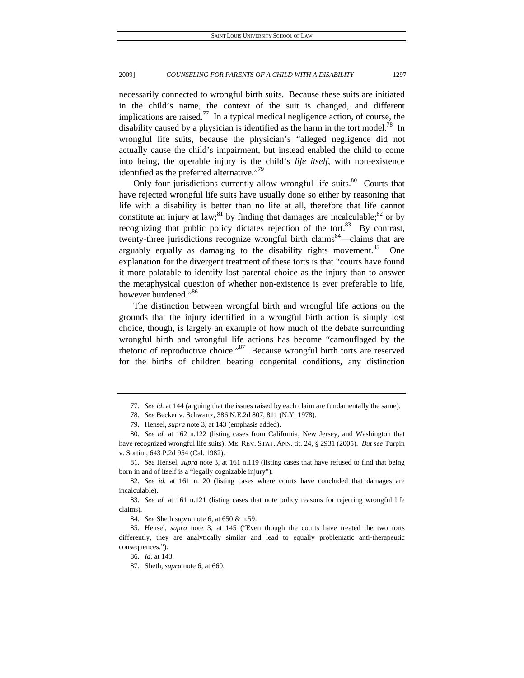necessarily connected to wrongful birth suits. Because these suits are initiated in the child's name, the context of the suit is changed, and different implications are raised.<sup>77</sup> In a typical medical negligence action, of course, the disability caused by a physician is identified as the harm in the tort model.<sup>78</sup> In wrongful life suits, because the physician's "alleged negligence did not actually cause the child's impairment, but instead enabled the child to come into being, the operable injury is the child's *life itself*, with non-existence identified as the preferred alternative."<sup>79</sup>

Only four jurisdictions currently allow wrongful life suits.<sup>80</sup> Courts that have rejected wrongful life suits have usually done so either by reasoning that life with a disability is better than no life at all, therefore that life cannot constitute an injury at law;<sup>81</sup> by finding that damages are incalculable;<sup>82</sup> or by recognizing that public policy dictates rejection of the tort. $83$  By contrast, twenty-three jurisdictions recognize wrongful birth claims<sup>84</sup>—claims that are arguably equally as damaging to the disability rights movement.<sup>85</sup> One explanation for the divergent treatment of these torts is that "courts have found it more palatable to identify lost parental choice as the injury than to answer the metaphysical question of whether non-existence is ever preferable to life, however burdened."<sup>86</sup>

The distinction between wrongful birth and wrongful life actions on the grounds that the injury identified in a wrongful birth action is simply lost choice, though, is largely an example of how much of the debate surrounding wrongful birth and wrongful life actions has become "camouflaged by the rhetoric of reproductive choice."<sup>87</sup> Because wrongful birth torts are reserved for the births of children bearing congenital conditions, any distinction

<sup>77</sup>*. See id.* at 144 (arguing that the issues raised by each claim are fundamentally the same).

<sup>78</sup>*. See* Becker v. Schwartz, 386 N.E.2d 807, 811 (N.Y. 1978).

 <sup>79.</sup> Hensel, *supra* note 3, at 143 (emphasis added).

<sup>80</sup>*. See id.* at 162 n.122 (listing cases from California, New Jersey, and Washington that have recognized wrongful life suits); ME. REV. STAT. ANN. tit. 24, § 2931 (2005). *But see* Turpin v. Sortini, 643 P.2d 954 (Cal. 1982).

<sup>81</sup>*. See* Hensel, *supra* note 3, at 161 n.119 (listing cases that have refused to find that being born in and of itself is a "legally cognizable injury").

<sup>82</sup>*. See id.* at 161 n.120 (listing cases where courts have concluded that damages are incalculable).

<sup>83</sup>*. See id.* at 161 n.121 (listing cases that note policy reasons for rejecting wrongful life claims).

<sup>84</sup>*. See* Sheth *supra* note 6, at 650 & n.59.

 <sup>85.</sup> Hensel, *supra* note 3, at 145 ("Even though the courts have treated the two torts differently, they are analytically similar and lead to equally problematic anti-therapeutic consequences.").

<sup>86</sup>*. Id.* at 143.

 <sup>87.</sup> Sheth, *supra* note 6, at 660.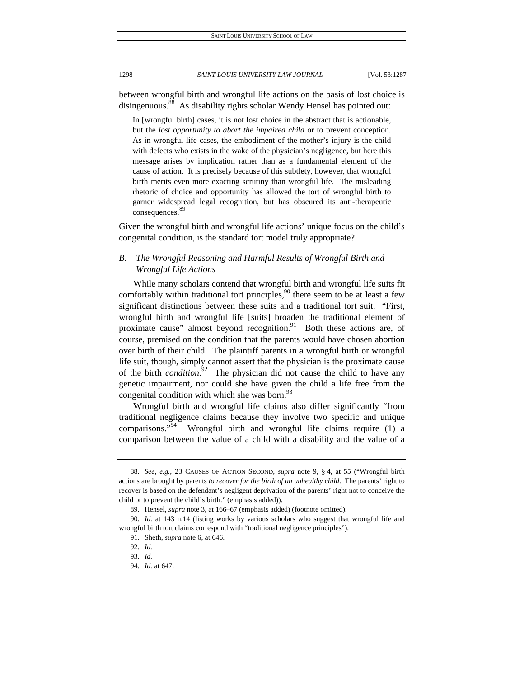between wrongful birth and wrongful life actions on the basis of lost choice is disingenuous.<sup>88</sup> As disability rights scholar Wendy Hensel has pointed out:

In [wrongful birth] cases, it is not lost choice in the abstract that is actionable, but the *lost opportunity to abort the impaired child* or to prevent conception. As in wrongful life cases, the embodiment of the mother's injury is the child with defects who exists in the wake of the physician's negligence, but here this message arises by implication rather than as a fundamental element of the cause of action. It is precisely because of this subtlety, however, that wrongful birth merits even more exacting scrutiny than wrongful life. The misleading rhetoric of choice and opportunity has allowed the tort of wrongful birth to garner widespread legal recognition, but has obscured its anti-therapeutic consequences. 89

Given the wrongful birth and wrongful life actions' unique focus on the child's congenital condition, is the standard tort model truly appropriate?

### *B. The Wrongful Reasoning and Harmful Results of Wrongful Birth and Wrongful Life Actions*

While many scholars contend that wrongful birth and wrongful life suits fit comfortably within traditional tort principles,<sup>90</sup> there seem to be at least a few significant distinctions between these suits and a traditional tort suit. "First, wrongful birth and wrongful life [suits] broaden the traditional element of proximate cause" almost beyond recognition. $91$  Both these actions are, of course, premised on the condition that the parents would have chosen abortion over birth of their child. The plaintiff parents in a wrongful birth or wrongful life suit, though, simply cannot assert that the physician is the proximate cause of the birth *condition*. 92 The physician did not cause the child to have any genetic impairment, nor could she have given the child a life free from the congenital condition with which she was born. $93$ 

Wrongful birth and wrongful life claims also differ significantly "from traditional negligence claims because they involve two specific and unique comparisons."<sup>94</sup> Wrongful birth and wrongful life claims require  $(1)$  a comparison between the value of a child with a disability and the value of a

94*. Id.* at 647.

<sup>88</sup>*. See, e.g.*, 23 CAUSES OF ACTION SECOND, *supra* note 9, § 4, at 55 ("Wrongful birth actions are brought by parents *to recover for the birth of an unhealthy child*. The parents' right to recover is based on the defendant's negligent deprivation of the parents' right not to conceive the child or to prevent the child's birth." (emphasis added)).

 <sup>89.</sup> Hensel, *supra* note 3, at 166–67 (emphasis added) (footnote omitted).

<sup>90</sup>*. Id.* at 143 n.14 (listing works by various scholars who suggest that wrongful life and wrongful birth tort claims correspond with "traditional negligence principles").

 <sup>91.</sup> Sheth, *supra* note 6, at 646.

<sup>92</sup>*. Id.*

<sup>93</sup>*. Id.*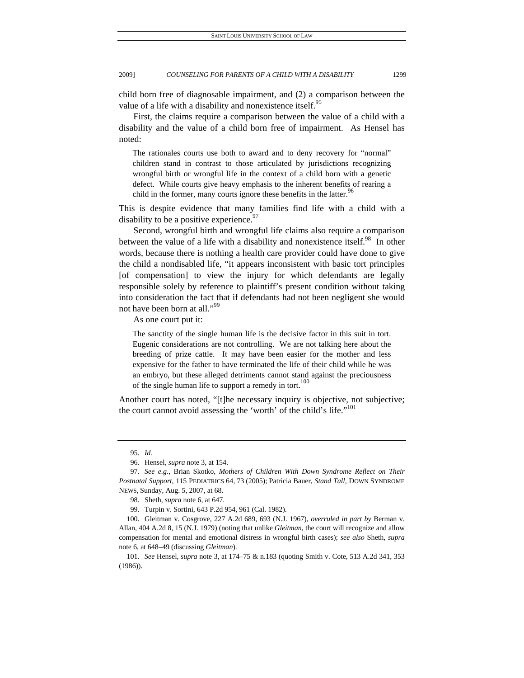child born free of diagnosable impairment, and (2) a comparison between the value of a life with a disability and nonexistence itself.<sup>95</sup>

First, the claims require a comparison between the value of a child with a disability and the value of a child born free of impairment. As Hensel has noted:

The rationales courts use both to award and to deny recovery for "normal" children stand in contrast to those articulated by jurisdictions recognizing wrongful birth or wrongful life in the context of a child born with a genetic defect. While courts give heavy emphasis to the inherent benefits of rearing a child in the former, many courts ignore these benefits in the latter.<sup>96</sup>

This is despite evidence that many families find life with a child with a disability to be a positive experience.  $97$ 

Second, wrongful birth and wrongful life claims also require a comparison between the value of a life with a disability and nonexistence itself.<sup>98</sup> In other words, because there is nothing a health care provider could have done to give the child a nondisabled life, "it appears inconsistent with basic tort principles [of compensation] to view the injury for which defendants are legally responsible solely by reference to plaintiff's present condition without taking into consideration the fact that if defendants had not been negligent she would not have been born at all."<sup>99</sup>

As one court put it:

The sanctity of the single human life is the decisive factor in this suit in tort. Eugenic considerations are not controlling. We are not talking here about the breeding of prize cattle. It may have been easier for the mother and less expensive for the father to have terminated the life of their child while he was an embryo, but these alleged detriments cannot stand against the preciousness of the single human life to support a remedy in tort.<sup>100</sup>

Another court has noted, "[t]he necessary inquiry is objective, not subjective; the court cannot avoid assessing the 'worth' of the child's life."<sup>101</sup>

<sup>95</sup>*. Id.*

 <sup>96.</sup> Hensel, *supra* note 3, at 154.

<sup>97</sup>*. See e.g.*, Brian Skotko, *Mothers of Children With Down Syndrome Reflect on Their Postnatal Support*, 115 PEDIATRICS 64, 73 (2005); Patricia Bauer, *Stand Tall*, DOWN SYNDROME NEWS, Sunday, Aug. 5, 2007, at 68.

 <sup>98.</sup> Sheth, *supra* note 6, at 647.

 <sup>99.</sup> Turpin v. Sortini, 643 P.2d 954, 961 (Cal. 1982).

 <sup>100.</sup> Gleitman v. Cosgrove, 227 A.2d 689, 693 (N.J. 1967), *overruled in part by* Berman v. Allan, 404 A.2d 8, 15 (N.J. 1979) (noting that unlike *Gleitman*, the court will recognize and allow compensation for mental and emotional distress in wrongful birth cases); *see also* Sheth, *supra* note 6, at 648–49 (discussing *Gleitman*).

<sup>101</sup>*. See* Hensel, *supra* note 3, at 174–75 & n.183 (quoting Smith v. Cote, 513 A.2d 341, 353 (1986)).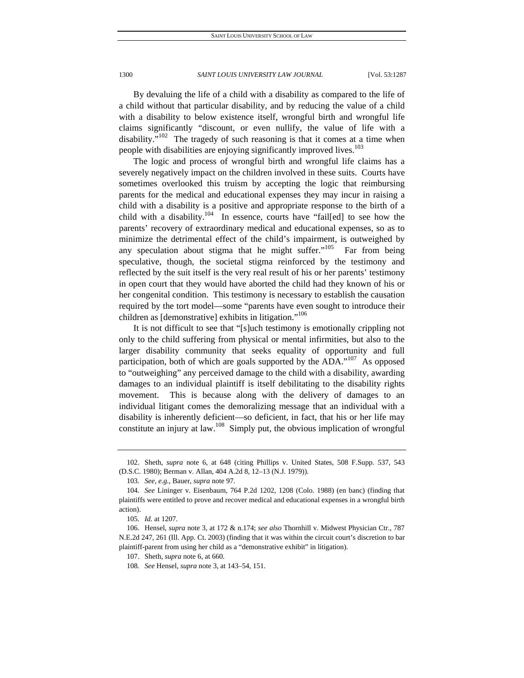By devaluing the life of a child with a disability as compared to the life of a child without that particular disability, and by reducing the value of a child with a disability to below existence itself, wrongful birth and wrongful life claims significantly "discount, or even nullify, the value of life with a disability." $102$  The tragedy of such reasoning is that it comes at a time when people with disabilities are enjoying significantly improved lives.<sup>103</sup>

The logic and process of wrongful birth and wrongful life claims has a severely negatively impact on the children involved in these suits. Courts have sometimes overlooked this truism by accepting the logic that reimbursing parents for the medical and educational expenses they may incur in raising a child with a disability is a positive and appropriate response to the birth of a child with a disability.<sup>104</sup> In essence, courts have "fail[ed] to see how the parents' recovery of extraordinary medical and educational expenses, so as to minimize the detrimental effect of the child's impairment, is outweighed by any speculation about stigma that he might suffer. $105$  Far from being speculative, though, the societal stigma reinforced by the testimony and reflected by the suit itself is the very real result of his or her parents' testimony in open court that they would have aborted the child had they known of his or her congenital condition. This testimony is necessary to establish the causation required by the tort model—some "parents have even sought to introduce their children as [demonstrative] exhibits in litigation."<sup>106</sup>

It is not difficult to see that "[s]uch testimony is emotionally crippling not only to the child suffering from physical or mental infirmities, but also to the larger disability community that seeks equality of opportunity and full participation, both of which are goals supported by the ADA."<sup>107</sup> As opposed to "outweighing" any perceived damage to the child with a disability, awarding damages to an individual plaintiff is itself debilitating to the disability rights movement. This is because along with the delivery of damages to an individual litigant comes the demoralizing message that an individual with a disability is inherently deficient—so deficient, in fact, that his or her life may constitute an injury at law.<sup>108</sup> Simply put, the obvious implication of wrongful

 <sup>102.</sup> Sheth, *supra* note 6, at 648 (citing Phillips v. United States, 508 F.Supp. 537, 543 (D.S.C. 1980); Berman v. Allan, 404 A.2d 8, 12–13 (N.J. 1979)).

<sup>103</sup>*. See, e.g.*, Bauer, *supra* note 97.

<sup>104</sup>*. See* Lininger v. Eisenbaum, 764 P.2d 1202, 1208 (Colo. 1988) (en banc) (finding that plaintiffs were entitled to prove and recover medical and educational expenses in a wrongful birth action).

<sup>105</sup>*. Id.* at 1207.

 <sup>106.</sup> Hensel, *supra* note 3, at 172 & n.174; *see also* Thornhill v. Midwest Physician Ctr., 787 N.E.2d 247, 261 (Ill. App. Ct. 2003) (finding that it was within the circuit court's discretion to bar plaintiff-parent from using her child as a "demonstrative exhibit" in litigation).

 <sup>107.</sup> Sheth, *supra* note 6, at 660.

<sup>108</sup>*. See* Hensel, *supra* note 3, at 143–54, 151.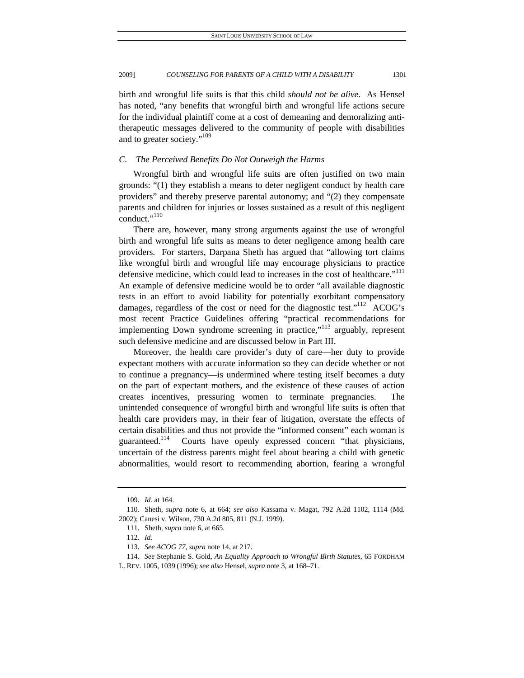birth and wrongful life suits is that this child *should not be alive*. As Hensel has noted, "any benefits that wrongful birth and wrongful life actions secure for the individual plaintiff come at a cost of demeaning and demoralizing antitherapeutic messages delivered to the community of people with disabilities and to greater society."<sup>109</sup>

### *C. The Perceived Benefits Do Not Outweigh the Harms*

Wrongful birth and wrongful life suits are often justified on two main grounds: "(1) they establish a means to deter negligent conduct by health care providers" and thereby preserve parental autonomy; and "(2) they compensate parents and children for injuries or losses sustained as a result of this negligent conduct."<sup>110</sup>

There are, however, many strong arguments against the use of wrongful birth and wrongful life suits as means to deter negligence among health care providers. For starters, Darpana Sheth has argued that "allowing tort claims like wrongful birth and wrongful life may encourage physicians to practice defensive medicine, which could lead to increases in the cost of healthcare."<sup>111</sup> An example of defensive medicine would be to order "all available diagnostic tests in an effort to avoid liability for potentially exorbitant compensatory damages, regardless of the cost or need for the diagnostic test."<sup>112</sup> ACOG's most recent Practice Guidelines offering "practical recommendations for implementing Down syndrome screening in practice, $v^{113}$  arguably, represent such defensive medicine and are discussed below in Part III.

Moreover, the health care provider's duty of care—her duty to provide expectant mothers with accurate information so they can decide whether or not to continue a pregnancy—is undermined where testing itself becomes a duty on the part of expectant mothers, and the existence of these causes of action creates incentives, pressuring women to terminate pregnancies. The unintended consequence of wrongful birth and wrongful life suits is often that health care providers may, in their fear of litigation, overstate the effects of certain disabilities and thus not provide the "informed consent" each woman is guaranteed.114 Courts have openly expressed concern "that physicians, uncertain of the distress parents might feel about bearing a child with genetic abnormalities, would resort to recommending abortion, fearing a wrongful

<sup>109</sup>*. Id.* at 164.

 <sup>110.</sup> Sheth, *supra* note 6, at 664; *see also* Kassama v. Magat, 792 A.2d 1102, 1114 (Md. 2002); Canesi v. Wilson, 730 A.2d 805, 811 (N.J. 1999).

 <sup>111.</sup> Sheth, *supra* note 6, at 665.

<sup>112</sup>*. Id.*

<sup>113</sup>*. See ACOG 77*, *supra* note 14, at 217.

<sup>114</sup>*. See* Stephanie S. Gold, *An Equality Approach to Wrongful Birth Statutes*, 65 FORDHAM L. REV. 1005, 1039 (1996); *see also* Hensel, *supra* note 3, at 168–71.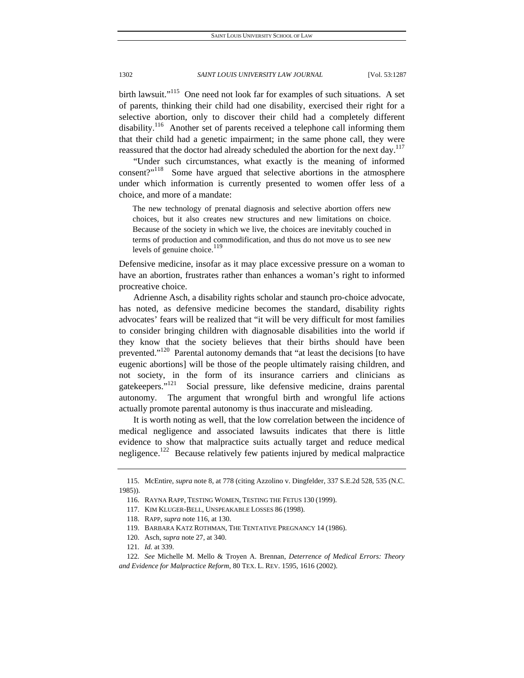birth lawsuit."<sup>115</sup> One need not look far for examples of such situations. A set of parents, thinking their child had one disability, exercised their right for a selective abortion, only to discover their child had a completely different disability.<sup>116</sup> Another set of parents received a telephone call informing them that their child had a genetic impairment; in the same phone call, they were reassured that the doctor had already scheduled the abortion for the next day.<sup>117</sup>

"Under such circumstances, what exactly is the meaning of informed consent?"<sup>118</sup> Some have argued that selective abortions in the atmosphere under which information is currently presented to women offer less of a choice, and more of a mandate:

The new technology of prenatal diagnosis and selective abortion offers new choices, but it also creates new structures and new limitations on choice. Because of the society in which we live, the choices are inevitably couched in terms of production and commodification, and thus do not move us to see new levels of genuine choice.<sup>119</sup>

Defensive medicine, insofar as it may place excessive pressure on a woman to have an abortion, frustrates rather than enhances a woman's right to informed procreative choice.

Adrienne Asch, a disability rights scholar and staunch pro-choice advocate, has noted, as defensive medicine becomes the standard, disability rights advocates' fears will be realized that "it will be very difficult for most families to consider bringing children with diagnosable disabilities into the world if they know that the society believes that their births should have been prevented."<sup>120</sup> Parental autonomy demands that "at least the decisions [to have eugenic abortions] will be those of the people ultimately raising children, and not society, in the form of its insurance carriers and clinicians as gatekeepers."<sup>121</sup> Social pressure, like defensive medicine, drains parental autonomy. The argument that wrongful birth and wrongful life actions actually promote parental autonomy is thus inaccurate and misleading.

It is worth noting as well, that the low correlation between the incidence of medical negligence and associated lawsuits indicates that there is little evidence to show that malpractice suits actually target and reduce medical negligence.<sup>122</sup> Because relatively few patients injured by medical malpractice

 <sup>115.</sup> McEntire, *supra* note 8, at 778 (citing Azzolino v. Dingfelder, 337 S.E.2d 528, 535 (N.C.

<sup>1985)).</sup> 

 <sup>116.</sup> RAYNA RAPP, TESTING WOMEN, TESTING THE FETUS 130 (1999).

 <sup>117.</sup> KIM KLUGER-BELL, UNSPEAKABLE LOSSES 86 (1998).

 <sup>118.</sup> RAPP, *supra* note 116, at 130.

 <sup>119.</sup> BARBARA KATZ ROTHMAN, THE TENTATIVE PREGNANCY 14 (1986).

 <sup>120.</sup> Asch, *supra* note 27, at 340.

<sup>121</sup>*. Id.* at 339.

<sup>122</sup>*. See* Michelle M. Mello & Troyen A. Brennan, *Deterrence of Medical Errors: Theory and Evidence for Malpractice Reform*, 80 TEX. L. REV. 1595, 1616 (2002).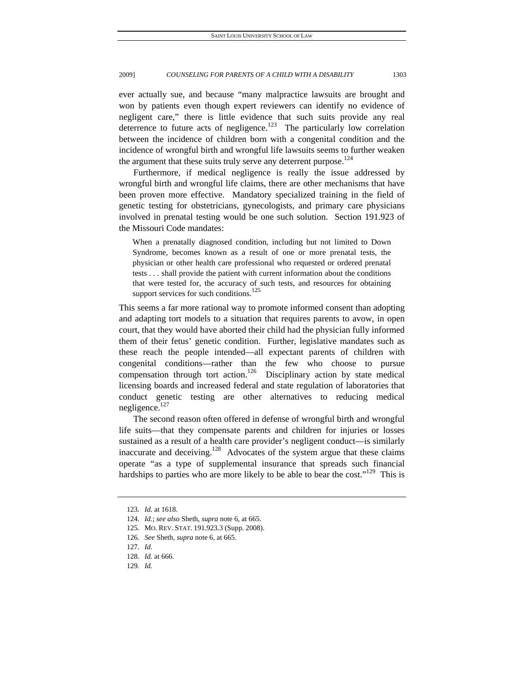ever actually sue, and because "many malpractice lawsuits are brought and won by patients even though expert reviewers can identify no evidence of negligent care," there is little evidence that such suits provide any real deterrence to future acts of negligence.<sup>123</sup> The particularly low correlation between the incidence of children born with a congenital condition and the incidence of wrongful birth and wrongful life lawsuits seems to further weaken the argument that these suits truly serve any deterrent purpose.<sup>124</sup>

Furthermore, if medical negligence is really the issue addressed by wrongful birth and wrongful life claims, there are other mechanisms that have been proven more effective. Mandatory specialized training in the field of genetic testing for obstetricians, gynecologists, and primary care physicians involved in prenatal testing would be one such solution. Section 191.923 of the Missouri Code mandates:

When a prenatally diagnosed condition, including but not limited to Down Syndrome, becomes known as a result of one or more prenatal tests, the physician or other health care professional who requested or ordered prenatal tests . . . shall provide the patient with current information about the conditions that were tested for, the accuracy of such tests, and resources for obtaining support services for such conditions.<sup>125</sup>

This seems a far more rational way to promote informed consent than adopting and adapting tort models to a situation that requires parents to avow, in open court, that they would have aborted their child had the physician fully informed them of their fetus' genetic condition. Further, legislative mandates such as these reach the people intended—all expectant parents of children with congenital conditions—rather than the few who choose to pursue compensation through tort action.<sup>126</sup> Disciplinary action by state medical licensing boards and increased federal and state regulation of laboratories that conduct genetic testing are other alternatives to reducing medical negligence.<sup>127</sup>

The second reason often offered in defense of wrongful birth and wrongful life suits—that they compensate parents and children for injuries or losses sustained as a result of a health care provider's negligent conduct—is similarly inaccurate and deceiving.<sup>128</sup> Advocates of the system argue that these claims operate "as a type of supplemental insurance that spreads such financial hardships to parties who are more likely to be able to bear the cost."<sup>129</sup> This is

<sup>123</sup>*. Id.* at 1618.

<sup>124</sup>*. Id.*; *see also* Sheth, *supra* note 6, at 665.

 <sup>125.</sup> MO. REV. STAT. 191.923.3 (Supp. 2008).

<sup>126</sup>*. See* Sheth, *supra* note 6, at 665.

<sup>127</sup>*. Id.*

<sup>128</sup>*. Id.* at 666.

<sup>129</sup>*. Id.*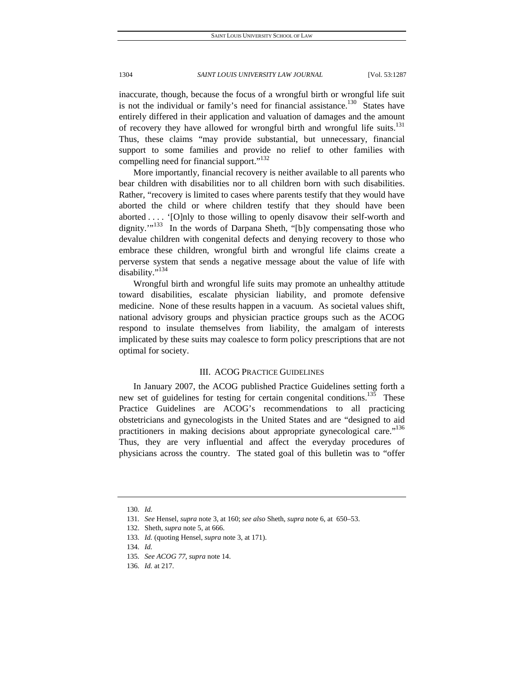inaccurate, though, because the focus of a wrongful birth or wrongful life suit is not the individual or family's need for financial assistance.<sup>130</sup> States have entirely differed in their application and valuation of damages and the amount of recovery they have allowed for wrongful birth and wrongful life suits.<sup>131</sup> Thus, these claims "may provide substantial, but unnecessary, financial support to some families and provide no relief to other families with compelling need for financial support."<sup>132</sup>

More importantly, financial recovery is neither available to all parents who bear children with disabilities nor to all children born with such disabilities. Rather, "recovery is limited to cases where parents testify that they would have aborted the child or where children testify that they should have been aborted . . . . '[O]nly to those willing to openly disavow their self-worth and dignity."<sup>133</sup> In the words of Darpana Sheth, "[b]y compensating those who devalue children with congenital defects and denying recovery to those who embrace these children, wrongful birth and wrongful life claims create a perverse system that sends a negative message about the value of life with disability."<sup>134</sup>

Wrongful birth and wrongful life suits may promote an unhealthy attitude toward disabilities, escalate physician liability, and promote defensive medicine. None of these results happen in a vacuum. As societal values shift, national advisory groups and physician practice groups such as the ACOG respond to insulate themselves from liability, the amalgam of interests implicated by these suits may coalesce to form policy prescriptions that are not optimal for society.

### III. ACOG PRACTICE GUIDELINES

In January 2007, the ACOG published Practice Guidelines setting forth a new set of guidelines for testing for certain congenital conditions.<sup>135</sup> These Practice Guidelines are ACOG's recommendations to all practicing obstetricians and gynecologists in the United States and are "designed to aid practitioners in making decisions about appropriate gynecological care."<sup>136</sup> Thus, they are very influential and affect the everyday procedures of physicians across the country. The stated goal of this bulletin was to "offer

<sup>130</sup>*. Id.*

<sup>131</sup>*. See* Hensel, *supra* note 3, at 160; *see also* Sheth, *supra* note 6, at 650–53.

 <sup>132.</sup> Sheth, *supra* note 5, at 666.

<sup>133</sup>*. Id.* (quoting Hensel, *supra* note 3, at 171).

<sup>134</sup>*. Id.*

<sup>135</sup>*. See ACOG 77*, *supra* note 14.

<sup>136</sup>*. Id.* at 217.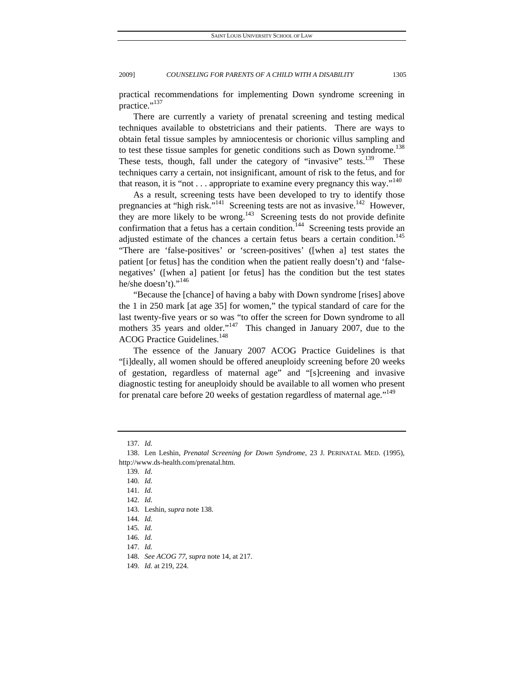practical recommendations for implementing Down syndrome screening in practice."<sup>137</sup>

There are currently a variety of prenatal screening and testing medical techniques available to obstetricians and their patients. There are ways to obtain fetal tissue samples by amniocentesis or chorionic villus sampling and to test these tissue samples for genetic conditions such as Down syndrome.<sup>138</sup> These tests, though, fall under the category of "invasive" tests.<sup>139</sup> These techniques carry a certain, not insignificant, amount of risk to the fetus, and for that reason, it is "not  $\dots$  appropriate to examine every pregnancy this way."<sup>140</sup>

As a result, screening tests have been developed to try to identify those pregnancies at "high risk."<sup>141</sup> Screening tests are not as invasive.<sup>142</sup> However, they are more likely to be wrong.<sup>143</sup> Screening tests do not provide definite confirmation that a fetus has a certain condition.<sup>144</sup> Screening tests provide an adjusted estimate of the chances a certain fetus bears a certain condition.<sup>145</sup> "There are 'false-positives' or 'screen-positives' ([when a] test states the patient [or fetus] has the condition when the patient really doesn't) and 'falsenegatives' ([when a] patient [or fetus] has the condition but the test states he/she doesn't)."<sup>146</sup>

"Because the [chance] of having a baby with Down syndrome [rises] above the 1 in 250 mark [at age 35] for women," the typical standard of care for the last twenty-five years or so was "to offer the screen for Down syndrome to all mothers  $35$  years and older."<sup>147</sup> This changed in January 2007, due to the ACOG Practice Guidelines.<sup>148</sup>

The essence of the January 2007 ACOG Practice Guidelines is that "[i]deally, all women should be offered aneuploidy screening before 20 weeks of gestation, regardless of maternal age" and "[s]creening and invasive diagnostic testing for aneuploidy should be available to all women who present for prenatal care before 20 weeks of gestation regardless of maternal age."<sup>149</sup>

<sup>137</sup>*. Id.*

 <sup>138.</sup> Len Leshin, *Prenatal Screening for Down Syndrome*, 23 J. PERINATAL MED. (1995), http://www.ds-health.com/prenatal.htm.

<sup>139</sup>*. Id.*

<sup>140</sup>*. Id.*

<sup>141</sup>*. Id.*

<sup>142</sup>*. Id.*

 <sup>143.</sup> Leshin, *supra* note 138.

<sup>144</sup>*. Id.*

<sup>145</sup>*. Id.*

<sup>146</sup>*. Id.*

<sup>147</sup>*. Id.*

<sup>148</sup>*. See ACOG 77*, *supra* note 14, at 217.

<sup>149</sup>*. Id.* at 219, 224.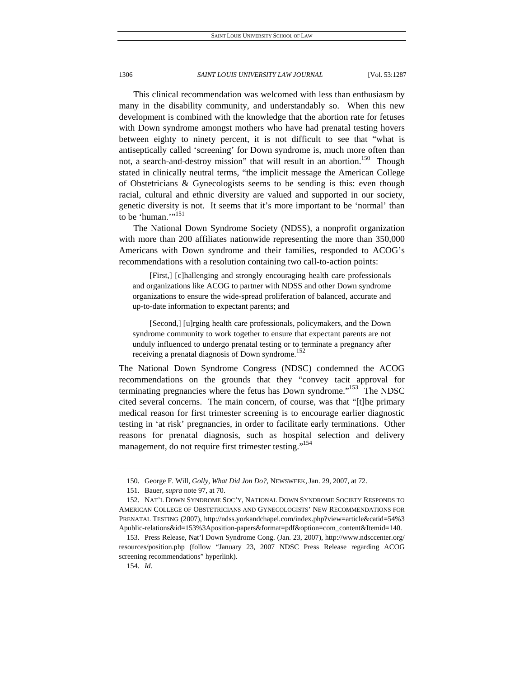This clinical recommendation was welcomed with less than enthusiasm by many in the disability community, and understandably so. When this new development is combined with the knowledge that the abortion rate for fetuses with Down syndrome amongst mothers who have had prenatal testing hovers between eighty to ninety percent, it is not difficult to see that "what is antiseptically called 'screening' for Down syndrome is, much more often than not, a search-and-destroy mission" that will result in an abortion.<sup>150</sup> Though stated in clinically neutral terms, "the implicit message the American College of Obstetricians & Gynecologists seems to be sending is this: even though racial, cultural and ethnic diversity are valued and supported in our society, genetic diversity is not. It seems that it's more important to be 'normal' than to be 'human.'"<sup>151</sup>

The National Down Syndrome Society (NDSS), a nonprofit organization with more than 200 affiliates nationwide representing the more than 350,000 Americans with Down syndrome and their families, responded to ACOG's recommendations with a resolution containing two call-to-action points:

[First,] [c]hallenging and strongly encouraging health care professionals and organizations like ACOG to partner with NDSS and other Down syndrome organizations to ensure the wide-spread proliferation of balanced, accurate and up-to-date information to expectant parents; and

[Second,] [u]rging health care professionals, policymakers, and the Down syndrome community to work together to ensure that expectant parents are not unduly influenced to undergo prenatal testing or to terminate a pregnancy after receiving a prenatal diagnosis of Down syndrome.<sup>152</sup>

The National Down Syndrome Congress (NDSC) condemned the ACOG recommendations on the grounds that they "convey tacit approval for terminating pregnancies where the fetus has Down syndrome."<sup>153</sup> The NDSC cited several concerns. The main concern, of course, was that "[t]he primary medical reason for first trimester screening is to encourage earlier diagnostic testing in 'at risk' pregnancies, in order to facilitate early terminations. Other reasons for prenatal diagnosis, such as hospital selection and delivery management, do not require first trimester testing."<sup>154</sup>

 <sup>150.</sup> George F. Will, *Golly, What Did Jon Do?*, NEWSWEEK, Jan. 29, 2007, at 72.

 <sup>151.</sup> Bauer, *supra* note 97, at 70.

 <sup>152.</sup> NAT'L DOWN SYNDROME SOC'Y, NATIONAL DOWN SYNDROME SOCIETY RESPONDS TO AMERICAN COLLEGE OF OBSTETRICIANS AND GYNECOLOGISTS' NEW RECOMMENDATIONS FOR PRENATAL TESTING (2007), http://ndss.yorkandchapel.com/index.php?view=article&catid=54%3 Apublic-relations&id=153%3Aposition-papers&format=pdf&option=com\_content&Itemid=140.

 <sup>153.</sup> Press Release, Nat'l Down Syndrome Cong. (Jan. 23, 2007), http://www.ndsccenter.org/ resources/position.php (follow "January 23, 2007 NDSC Press Release regarding ACOG screening recommendations" hyperlink).

<sup>154</sup>*. Id.*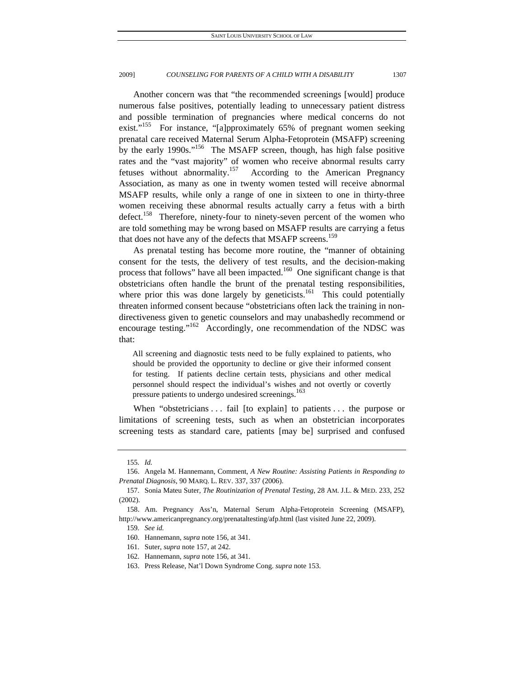Another concern was that "the recommended screenings [would] produce numerous false positives, potentially leading to unnecessary patient distress and possible termination of pregnancies where medical concerns do not exist."<sup>155</sup> For instance, "[a]pproximately 65% of pregnant women seeking prenatal care received Maternal Serum Alpha-Fetoprotein (MSAFP) screening by the early 1990s."<sup>156</sup> The MSAFP screen, though, has high false positive rates and the "vast majority" of women who receive abnormal results carry fetuses without abnormality.<sup>157</sup> According to the American Pregnancy Association, as many as one in twenty women tested will receive abnormal MSAFP results, while only a range of one in sixteen to one in thirty-three women receiving these abnormal results actually carry a fetus with a birth defect.<sup>158</sup> Therefore, ninety-four to ninety-seven percent of the women who are told something may be wrong based on MSAFP results are carrying a fetus that does not have any of the defects that MSAFP screens.<sup>159</sup>

As prenatal testing has become more routine, the "manner of obtaining consent for the tests, the delivery of test results, and the decision-making process that follows" have all been impacted.<sup>160</sup> One significant change is that obstetricians often handle the brunt of the prenatal testing responsibilities, where prior this was done largely by geneticists.<sup>161</sup> This could potentially threaten informed consent because "obstetricians often lack the training in nondirectiveness given to genetic counselors and may unabashedly recommend or encourage testing."<sup>162</sup> Accordingly, one recommendation of the NDSC was that:

All screening and diagnostic tests need to be fully explained to patients, who should be provided the opportunity to decline or give their informed consent for testing. If patients decline certain tests, physicians and other medical personnel should respect the individual's wishes and not overtly or covertly pressure patients to undergo undesired screenings.<sup>163</sup>

When "obstetricians . . . fail [to explain] to patients . . . the purpose or limitations of screening tests, such as when an obstetrician incorporates screening tests as standard care, patients [may be] surprised and confused

<sup>155</sup>*. Id.*

 <sup>156.</sup> Angela M. Hannemann, Comment, *A New Routine: Assisting Patients in Responding to Prenatal Diagnosis*, 90 MARQ. L. REV. 337, 337 (2006).

 <sup>157.</sup> Sonia Mateu Suter, *The Routinization of Prenatal Testing*, 28 AM. J.L. & MED. 233, 252 (2002).

 <sup>158.</sup> Am. Pregnancy Ass'n, Maternal Serum Alpha-Fetoprotein Screening (MSAFP), http://www.americanpregnancy.org/prenataltesting/afp.html (last visited June 22, 2009).

<sup>159</sup>*. See id.*

 <sup>160.</sup> Hannemann, *supra* note 156, at 341.

 <sup>161.</sup> Suter, *supra* note 157, at 242.

 <sup>162.</sup> Hannemann, *supra* note 156, at 341.

 <sup>163.</sup> Press Release, Nat'l Down Syndrome Cong. *supra* note 153.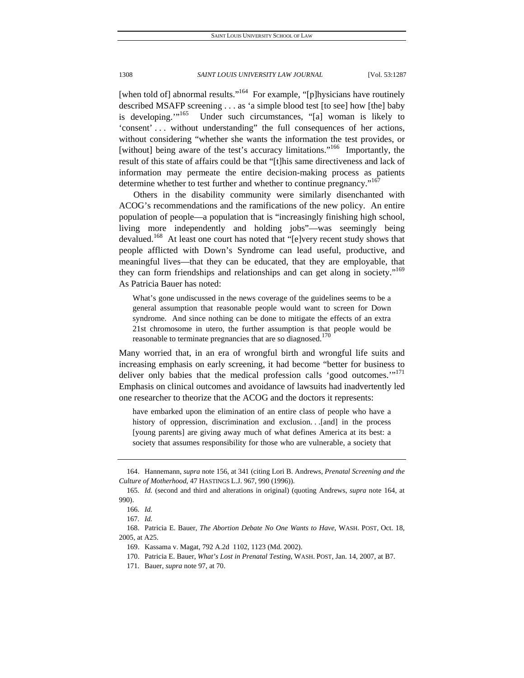[when told of] abnormal results."<sup>164</sup> For example, "[p]hysicians have routinely described MSAFP screening . . . as 'a simple blood test [to see] how [the] baby is developing."<sup>165</sup> Under such circumstances, "[a] woman is likely to 'consent' . . . without understanding" the full consequences of her actions, without considering "whether she wants the information the test provides, or [without] being aware of the test's accuracy limitations."<sup>166</sup> Importantly, the result of this state of affairs could be that "[t]his same directiveness and lack of information may permeate the entire decision-making process as patients determine whether to test further and whether to continue pregnancy."<sup>167</sup>

Others in the disability community were similarly disenchanted with ACOG's recommendations and the ramifications of the new policy. An entire population of people—a population that is "increasingly finishing high school, living more independently and holding jobs"—was seemingly being devalued.<sup>168</sup> At least one court has noted that "[e]very recent study shows that people afflicted with Down's Syndrome can lead useful, productive, and meaningful lives—that they can be educated, that they are employable, that they can form friendships and relationships and can get along in society."<sup>169</sup> As Patricia Bauer has noted:

What's gone undiscussed in the news coverage of the guidelines seems to be a general assumption that reasonable people would want to screen for Down syndrome. And since nothing can be done to mitigate the effects of an extra 21st chromosome in utero, the further assumption is that people would be reasonable to terminate pregnancies that are so diagnosed.<sup>170</sup>

Many worried that, in an era of wrongful birth and wrongful life suits and increasing emphasis on early screening, it had become "better for business to deliver only babies that the medical profession calls 'good outcomes.'"<sup>171</sup> Emphasis on clinical outcomes and avoidance of lawsuits had inadvertently led one researcher to theorize that the ACOG and the doctors it represents:

have embarked upon the elimination of an entire class of people who have a history of oppression, discrimination and exclusion. . .[and] in the process [young parents] are giving away much of what defines America at its best: a society that assumes responsibility for those who are vulnerable, a society that

 <sup>164.</sup> Hannemann, *supra* note 156, at 341 (citing Lori B. Andrews, *Prenatal Screening and the Culture of Motherhood*, 47 HASTINGS L.J. 967, 990 (1996)).

<sup>165</sup>*. Id.* (second and third and alterations in original) (quoting Andrews, *supra* note 164, at 990).

<sup>166</sup>*. Id.*

<sup>167</sup>*. Id.*

 <sup>168.</sup> Patricia E. Bauer, *The Abortion Debate No One Wants to Have*, WASH. POST, Oct. 18, 2005, at A25.

 <sup>169.</sup> Kassama v. Magat, 792 A.2d 1102, 1123 (Md. 2002).

 <sup>170.</sup> Patricia E. Bauer, *What's Lost in Prenatal Testing*, WASH. POST, Jan. 14, 2007, at B7.

 <sup>171.</sup> Bauer, *supra* note 97, at 70.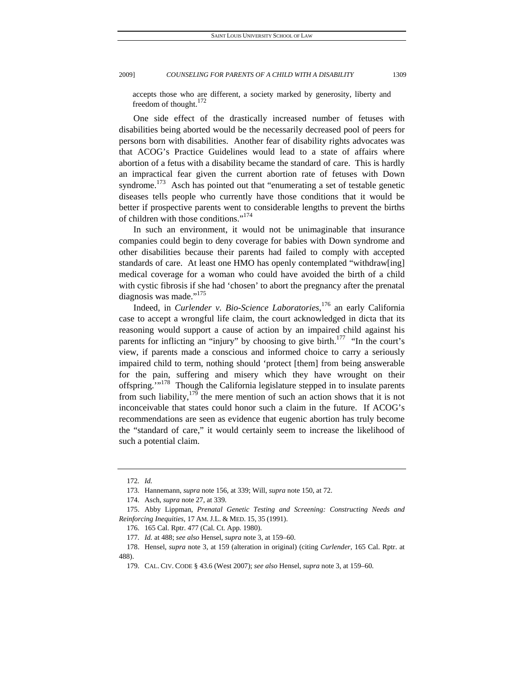accepts those who are different, a society marked by generosity, liberty and freedom of thought.<sup>172</sup>

One side effect of the drastically increased number of fetuses with disabilities being aborted would be the necessarily decreased pool of peers for persons born with disabilities. Another fear of disability rights advocates was that ACOG's Practice Guidelines would lead to a state of affairs where abortion of a fetus with a disability became the standard of care. This is hardly an impractical fear given the current abortion rate of fetuses with Down syndrome.<sup>173</sup> Asch has pointed out that "enumerating a set of testable genetic diseases tells people who currently have those conditions that it would be better if prospective parents went to considerable lengths to prevent the births of children with those conditions."<sup>174</sup>

In such an environment, it would not be unimaginable that insurance companies could begin to deny coverage for babies with Down syndrome and other disabilities because their parents had failed to comply with accepted standards of care. At least one HMO has openly contemplated "withdraw[ing] medical coverage for a woman who could have avoided the birth of a child with cystic fibrosis if she had 'chosen' to abort the pregnancy after the prenatal diagnosis was made."<sup>175</sup>

Indeed, in *Curlender v. Bio-Science Laboratories*, 176 an early California case to accept a wrongful life claim, the court acknowledged in dicta that its reasoning would support a cause of action by an impaired child against his parents for inflicting an "injury" by choosing to give birth.<sup>177</sup> "In the court's view, if parents made a conscious and informed choice to carry a seriously impaired child to term, nothing should 'protect [them] from being answerable for the pain, suffering and misery which they have wrought on their offspring."<sup>178</sup> Though the California legislature stepped in to insulate parents from such liability,  $179$  the mere mention of such an action shows that it is not inconceivable that states could honor such a claim in the future. If ACOG's recommendations are seen as evidence that eugenic abortion has truly become the "standard of care," it would certainly seem to increase the likelihood of such a potential claim.

<sup>172</sup>*. Id.*

 <sup>173.</sup> Hannemann, *supra* note 156, at 339; Will, *supra* note 150, at 72.

 <sup>174.</sup> Asch, *supra* note 27, at 339.

 <sup>175.</sup> Abby Lippman, *Prenatal Genetic Testing and Screening: Constructing Needs and Reinforcing Inequities*, 17 AM. J.L. & MED. 15, 35 (1991).

 <sup>176. 165</sup> Cal. Rptr. 477 (Cal. Ct. App. 1980).

<sup>177</sup>*. Id.* at 488; *see also* Hensel, *supra* note 3, at 159–60.

 <sup>178.</sup> Hensel, *supra* note 3, at 159 (alteration in original) (citing *Curlender*, 165 Cal. Rptr. at 488).

 <sup>179.</sup> CAL. CIV. CODE § 43.6 (West 2007); *see also* Hensel, *supra* note 3, at 159–60.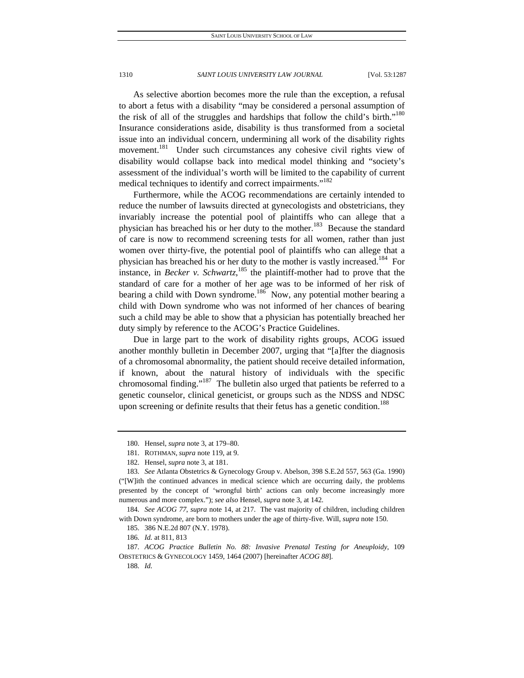As selective abortion becomes more the rule than the exception, a refusal to abort a fetus with a disability "may be considered a personal assumption of the risk of all of the struggles and hardships that follow the child's birth."<sup>180</sup> Insurance considerations aside, disability is thus transformed from a societal issue into an individual concern, undermining all work of the disability rights movement.<sup>181</sup> Under such circumstances any cohesive civil rights view of disability would collapse back into medical model thinking and "society's assessment of the individual's worth will be limited to the capability of current medical techniques to identify and correct impairments."<sup>182</sup>

Furthermore, while the ACOG recommendations are certainly intended to reduce the number of lawsuits directed at gynecologists and obstetricians, they invariably increase the potential pool of plaintiffs who can allege that a physician has breached his or her duty to the mother.<sup>183</sup> Because the standard of care is now to recommend screening tests for all women, rather than just women over thirty-five, the potential pool of plaintiffs who can allege that a physician has breached his or her duty to the mother is vastly increased.<sup>184</sup> For instance, in *Becker v. Schwartz*,  $185$  the plaintiff-mother had to prove that the standard of care for a mother of her age was to be informed of her risk of bearing a child with Down syndrome.<sup>186</sup> Now, any potential mother bearing a child with Down syndrome who was not informed of her chances of bearing such a child may be able to show that a physician has potentially breached her duty simply by reference to the ACOG's Practice Guidelines.

Due in large part to the work of disability rights groups, ACOG issued another monthly bulletin in December 2007, urging that "[a]fter the diagnosis of a chromosomal abnormality, the patient should receive detailed information, if known, about the natural history of individuals with the specific chromosomal finding."<sup>187</sup> The bulletin also urged that patients be referred to a genetic counselor, clinical geneticist, or groups such as the NDSS and NDSC upon screening or definite results that their fetus has a genetic condition.<sup>188</sup>

188*. Id.*

 <sup>180.</sup> Hensel, *supra* note 3, at 179–80.

 <sup>181.</sup> ROTHMAN, *supra* note 119, at 9.

 <sup>182.</sup> Hensel, *supra* note 3, at 181.

<sup>183</sup>*. See* Atlanta Obstetrics & Gynecology Group v. Abelson, 398 S.E.2d 557, 563 (Ga. 1990) ("[W]ith the continued advances in medical science which are occurring daily, the problems presented by the concept of 'wrongful birth' actions can only become increasingly more numerous and more complex."); *see also* Hensel, *supra* note 3, at 142.

<sup>184</sup>*. See ACOG 77*, *supra* note 14, at 217. The vast majority of children, including children with Down syndrome, are born to mothers under the age of thirty-five. Will, *supra* note 150.

 <sup>185. 386</sup> N.E.2d 807 (N.Y. 1978).

<sup>186</sup>*. Id.* at 811, 813

<sup>187</sup>*. ACOG Practice Bulletin No. 88: Invasive Prenatal Testing for Aneuploidy*, 109 OBSTETRICS & GYNECOLOGY 1459, 1464 (2007) [hereinafter *ACOG 88*].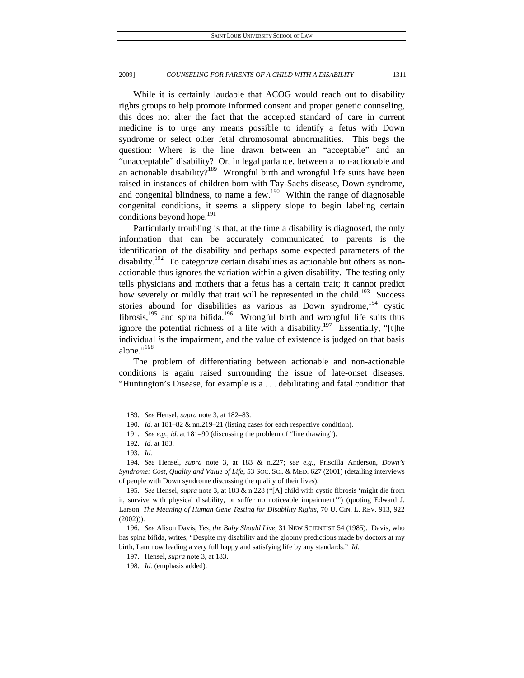While it is certainly laudable that ACOG would reach out to disability rights groups to help promote informed consent and proper genetic counseling, this does not alter the fact that the accepted standard of care in current medicine is to urge any means possible to identify a fetus with Down syndrome or select other fetal chromosomal abnormalities. This begs the question: Where is the line drawn between an "acceptable" and an "unacceptable" disability? Or, in legal parlance, between a non-actionable and an actionable disability? $189$  Wrongful birth and wrongful life suits have been raised in instances of children born with Tay-Sachs disease, Down syndrome, and congenital blindness, to name a few.<sup>190</sup> Within the range of diagnosable congenital conditions, it seems a slippery slope to begin labeling certain conditions beyond hope.<sup>191</sup>

Particularly troubling is that, at the time a disability is diagnosed, the only information that can be accurately communicated to parents is the identification of the disability and perhaps some expected parameters of the disability.<sup>192</sup> To categorize certain disabilities as actionable but others as nonactionable thus ignores the variation within a given disability. The testing only tells physicians and mothers that a fetus has a certain trait; it cannot predict how severely or mildly that trait will be represented in the child.<sup>193</sup> Success stories abound for disabilities as various as Down syndrome,<sup>194</sup> cystic fibrosis,<sup>195</sup> and spina bifida.<sup>196</sup> Wrongful birth and wrongful life suits thus ignore the potential richness of a life with a disability.<sup>197</sup> Essentially, "[t]he individual *is* the impairment, and the value of existence is judged on that basis alone." $^{198}$ 

The problem of differentiating between actionable and non-actionable conditions is again raised surrounding the issue of late-onset diseases. "Huntington's Disease, for example is a . . . debilitating and fatal condition that

<sup>189</sup>*. See* Hensel, *supra* note 3, at 182–83.

<sup>190</sup>*. Id.* at 181–82 & nn.219–21 (listing cases for each respective condition).

<sup>191</sup>*. See e.g.*, *id.* at 181–90 (discussing the problem of "line drawing").

<sup>192</sup>*. Id.* at 183.

<sup>193</sup>*. Id.*

<sup>194</sup>*. See* Hensel, *supra* note 3, at 183 & n.227; *see e.g.*, Priscilla Anderson, *Down's Syndrome: Cost, Quality and Value of Life*, 53 SOC. SCI. & MED. 627 (2001) (detailing interviews of people with Down syndrome discussing the quality of their lives).

<sup>195</sup>*. See* Hensel, *supra* note 3, at 183 & n.228 ("[A] child with cystic fibrosis 'might die from it, survive with physical disability, or suffer no noticeable impairment'") (quoting Edward J. Larson, *The Meaning of Human Gene Testing for Disability Rights*, 70 U. CIN. L. REV. 913, 922 (2002))).

<sup>196</sup>*. See* Alison Davis, *Yes, the Baby Should Live*, 31 NEW SCIENTIST 54 (1985). Davis, who has spina bifida, writes, "Despite my disability and the gloomy predictions made by doctors at my birth, I am now leading a very full happy and satisfying life by any standards." *Id.*

 <sup>197.</sup> Hensel, *supra* note 3, at 183.

<sup>198.</sup> Id. (emphasis added).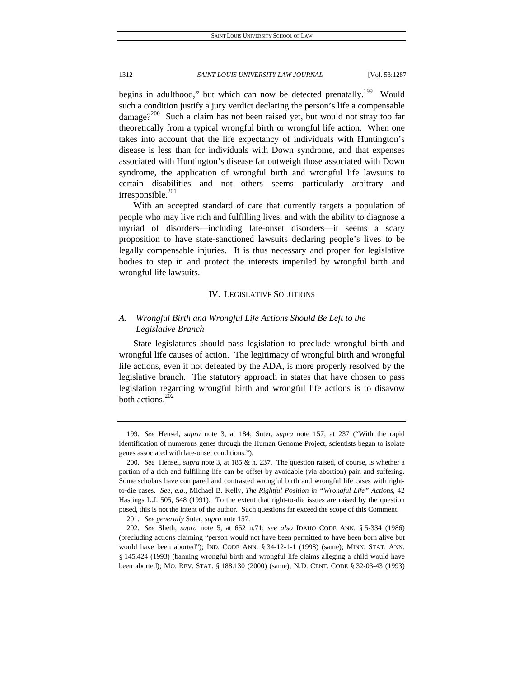begins in adulthood," but which can now be detected prenatally.<sup>199</sup> Would such a condition justify a jury verdict declaring the person's life a compensable damage?<sup>200</sup> Such a claim has not been raised yet, but would not stray too far theoretically from a typical wrongful birth or wrongful life action. When one takes into account that the life expectancy of individuals with Huntington's disease is less than for individuals with Down syndrome, and that expenses associated with Huntington's disease far outweigh those associated with Down syndrome, the application of wrongful birth and wrongful life lawsuits to certain disabilities and not others seems particularly arbitrary and irresponsible.<sup>201</sup>

With an accepted standard of care that currently targets a population of people who may live rich and fulfilling lives, and with the ability to diagnose a myriad of disorders—including late-onset disorders—it seems a scary proposition to have state-sanctioned lawsuits declaring people's lives to be legally compensable injuries. It is thus necessary and proper for legislative bodies to step in and protect the interests imperiled by wrongful birth and wrongful life lawsuits.

### IV. LEGISLATIVE SOLUTIONS

### *A. Wrongful Birth and Wrongful Life Actions Should Be Left to the Legislative Branch*

State legislatures should pass legislation to preclude wrongful birth and wrongful life causes of action. The legitimacy of wrongful birth and wrongful life actions, even if not defeated by the ADA, is more properly resolved by the legislative branch. The statutory approach in states that have chosen to pass legislation regarding wrongful birth and wrongful life actions is to disavow both actions. $202$ 

<sup>199</sup>*. See* Hensel, *supra* note 3, at 184; Suter, *supra* note 157, at 237 ("With the rapid identification of numerous genes through the Human Genome Project, scientists began to isolate genes associated with late-onset conditions.").

<sup>200</sup>*. See* Hensel, *supra* note 3, at 185 & n. 237. The question raised, of course, is whether a portion of a rich and fulfilling life can be offset by avoidable (via abortion) pain and suffering. Some scholars have compared and contrasted wrongful birth and wrongful life cases with rightto-die cases. *See, e.g.*, Michael B. Kelly, *The Rightful Position in "Wrongful Life" Actions*, 42 Hastings L.J. 505, 548 (1991). To the extent that right-to-die issues are raised by the question posed, this is not the intent of the author. Such questions far exceed the scope of this Comment.

<sup>201</sup>*. See generally* Suter, *supra* note 157.

<sup>202</sup>*. See* Sheth, *supra* note 5, at 652 n.71; *see also* IDAHO CODE ANN. § 5-334 (1986) (precluding actions claiming "person would not have been permitted to have been born alive but would have been aborted"); IND. CODE ANN. § 34-12-1-1 (1998) (same); MINN. STAT. ANN. § 145.424 (1993) (banning wrongful birth and wrongful life claims alleging a child would have been aborted); MO. REV. STAT. § 188.130 (2000) (same); N.D. CENT. CODE § 32-03-43 (1993)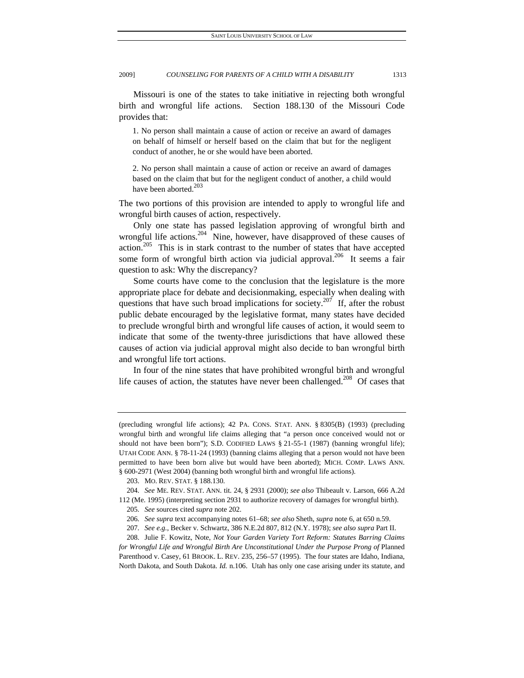Missouri is one of the states to take initiative in rejecting both wrongful birth and wrongful life actions. Section 188.130 of the Missouri Code provides that:

1. No person shall maintain a cause of action or receive an award of damages on behalf of himself or herself based on the claim that but for the negligent conduct of another, he or she would have been aborted.

2. No person shall maintain a cause of action or receive an award of damages based on the claim that but for the negligent conduct of another, a child would have been aborted.<sup>203</sup>

The two portions of this provision are intended to apply to wrongful life and wrongful birth causes of action, respectively.

Only one state has passed legislation approving of wrongful birth and wrongful life actions.<sup>204</sup> Nine, however, have disapproved of these causes of action.<sup>205</sup> This is in stark contrast to the number of states that have accepted some form of wrongful birth action via judicial approval.<sup>206</sup> It seems a fair question to ask: Why the discrepancy?

Some courts have come to the conclusion that the legislature is the more appropriate place for debate and decisionmaking, especially when dealing with questions that have such broad implications for society.<sup>207</sup> If, after the robust public debate encouraged by the legislative format, many states have decided to preclude wrongful birth and wrongful life causes of action, it would seem to indicate that some of the twenty-three jurisdictions that have allowed these causes of action via judicial approval might also decide to ban wrongful birth and wrongful life tort actions.

In four of the nine states that have prohibited wrongful birth and wrongful life causes of action, the statutes have never been challenged.<sup>208</sup> Of cases that

<sup>(</sup>precluding wrongful life actions); 42 PA. CONS. STAT. ANN. § 8305(B) (1993) (precluding wrongful birth and wrongful life claims alleging that "a person once conceived would not or should not have been born"); S.D. CODIFIED LAWS § 21-55-1 (1987) (banning wrongful life); UTAH CODE ANN. § 78-11-24 (1993) (banning claims alleging that a person would not have been permitted to have been born alive but would have been aborted); MICH. COMP. LAWS ANN. § 600-2971 (West 2004) (banning both wrongful birth and wrongful life actions).

 <sup>203.</sup> MO. REV. STAT. § 188.130.

<sup>204</sup>*. See* ME. REV. STAT. ANN. tit. 24, § 2931 (2000); *see also* Thibeault v. Larson, 666 A.2d

<sup>112 (</sup>Me. 1995) (interpreting section 2931 to authorize recovery of damages for wrongful birth).

<sup>205</sup>*. See* sources cited *supra* note 202.

<sup>206</sup>*. See supra* text accompanying notes 61–68; *see also* Sheth, *supra* note 6, at 650 n.59.

<sup>207</sup>*. See e.g.*, Becker v. Schwartz, 386 N.E.2d 807, 812 (N.Y. 1978); *see also supra* Part II.

 <sup>208.</sup> Julie F. Kowitz, Note, *Not Your Garden Variety Tort Reform: Statutes Barring Claims*  for Wrongful Life and Wrongful Birth Are Unconstitutional Under the Purpose Prong of Planned Parenthood v. Casey, 61 BROOK. L. REV. 235, 256–57 (1995). The four states are Idaho, Indiana, North Dakota, and South Dakota. *Id.* n.106. Utah has only one case arising under its statute, and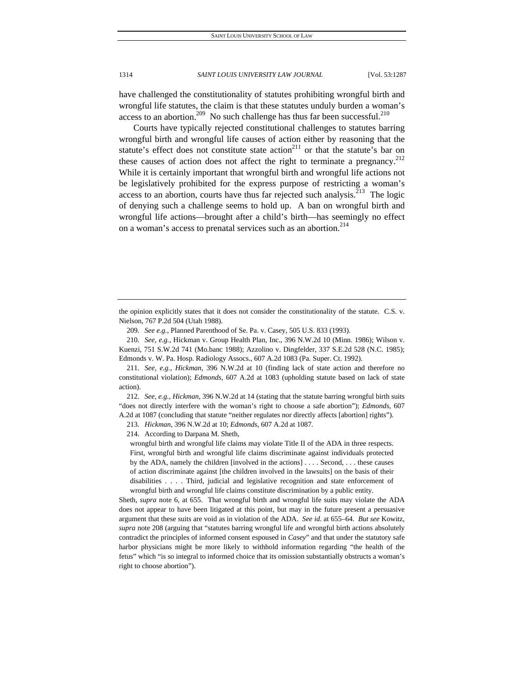have challenged the constitutionality of statutes prohibiting wrongful birth and wrongful life statutes, the claim is that these statutes unduly burden a woman's access to an abortion.<sup>209</sup> No such challenge has thus far been successful.<sup>210</sup>

Courts have typically rejected constitutional challenges to statutes barring wrongful birth and wrongful life causes of action either by reasoning that the statute's effect does not constitute state action<sup>211</sup> or that the statute's bar on these causes of action does not affect the right to terminate a pregnancy.<sup>212</sup> While it is certainly important that wrongful birth and wrongful life actions not be legislatively prohibited for the express purpose of restricting a woman's access to an abortion, courts have thus far rejected such analysis.<sup>213</sup> The logic of denying such a challenge seems to hold up. A ban on wrongful birth and wrongful life actions—brought after a child's birth—has seemingly no effect on a woman's access to prenatal services such as an abortion.<sup>214</sup>

209*. See e.g.*, Planned Parenthood of Se. Pa. v. Casey, 505 U.S. 833 (1993).

210*. See, e.g.*, Hickman v. Group Health Plan, Inc., 396 N.W.2d 10 (Minn. 1986); Wilson v. Kuenzi, 751 S.W.2d 741 (Mo.banc 1988); Azzolino v. Dingfelder, 337 S.E.2d 528 (N.C. 1985); Edmonds v. W. Pa. Hosp. Radiology Assocs., 607 A.2d 1083 (Pa. Super. Ct. 1992).

211*. See, e.g.*, *Hickman*, 396 N.W.2d at 10 (finding lack of state action and therefore no constitutional violation); *Edmonds*, 607 A.2d at 1083 (upholding statute based on lack of state action).

212*. See, e.g.*, *Hickman*, 396 N.W.2d at 14 (stating that the statute barring wrongful birth suits "does not directly interfere with the woman's right to choose a safe abortion"); *Edmonds*, 607 A.2d at 1087 (concluding that statute "neither regulates nor directly affects [abortion] rights").

213*. Hickman*, 396 N.W.2d at 10; *Edmonds*, 607 A.2d at 1087.

214. According to Darpana M. Sheth,

wrongful birth and wrongful life claims may violate Title II of the ADA in three respects. First, wrongful birth and wrongful life claims discriminate against individuals protected by the ADA, namely the children [involved in the actions] . . . . Second, . . . these causes of action discriminate against [the children involved in the lawsuits] on the basis of their disabilities . . . . Third, judicial and legislative recognition and state enforcement of wrongful birth and wrongful life claims constitute discrimination by a public entity.

Sheth, *supra* note 6, at 655. That wrongful birth and wrongful life suits may violate the ADA does not appear to have been litigated at this point, but may in the future present a persuasive argument that these suits are void as in violation of the ADA. *See id.* at 655–64. *But see* Kowitz, *supra* note 208 (arguing that "statutes barring wrongful life and wrongful birth actions absolutely contradict the principles of informed consent espoused in *Casey*" and that under the statutory safe harbor physicians might be more likely to withhold information regarding "the health of the fetus" which "is so integral to informed choice that its omission substantially obstructs a woman's right to choose abortion").

the opinion explicitly states that it does not consider the constitutionality of the statute. C.S. v. Nielson, 767 P.2d 504 (Utah 1988).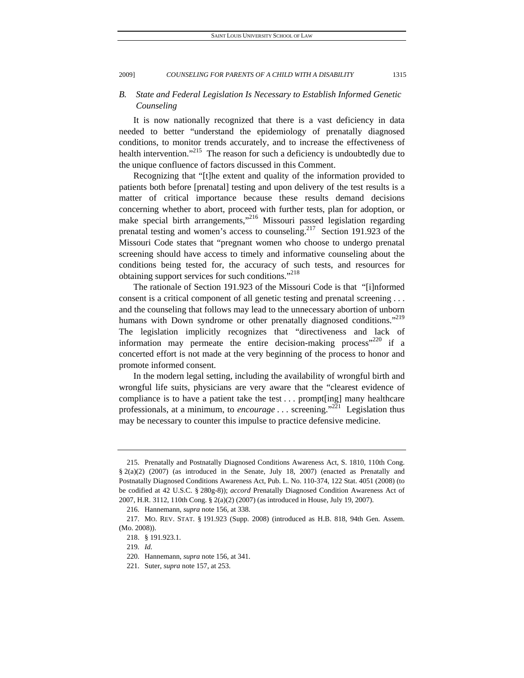### *B. State and Federal Legislation Is Necessary to Establish Informed Genetic Counseling*

It is now nationally recognized that there is a vast deficiency in data needed to better "understand the epidemiology of prenatally diagnosed conditions, to monitor trends accurately, and to increase the effectiveness of health intervention."<sup>215</sup> The reason for such a deficiency is undoubtedly due to the unique confluence of factors discussed in this Comment.

Recognizing that "[t]he extent and quality of the information provided to patients both before [prenatal] testing and upon delivery of the test results is a matter of critical importance because these results demand decisions concerning whether to abort, proceed with further tests, plan for adoption, or make special birth arrangements,"<sup>216</sup> Missouri passed legislation regarding prenatal testing and women's access to counseling.<sup>217</sup> Section 191.923 of the Missouri Code states that "pregnant women who choose to undergo prenatal screening should have access to timely and informative counseling about the conditions being tested for, the accuracy of such tests, and resources for obtaining support services for such conditions."<sup>218</sup>

The rationale of Section 191.923 of the Missouri Code is that "[i]nformed consent is a critical component of all genetic testing and prenatal screening . . . and the counseling that follows may lead to the unnecessary abortion of unborn humans with Down syndrome or other prenatally diagnosed conditions."<sup>219</sup> The legislation implicitly recognizes that "directiveness and lack of information may permeate the entire decision-making process"<sup>220</sup> if a concerted effort is not made at the very beginning of the process to honor and promote informed consent.

In the modern legal setting, including the availability of wrongful birth and wrongful life suits, physicians are very aware that the "clearest evidence of compliance is to have a patient take the test . . . prompt[ing] many healthcare professionals, at a minimum, to *encourage* . . . screening."<sup>221</sup> Legislation thus may be necessary to counter this impulse to practice defensive medicine.

 <sup>215.</sup> Prenatally and Postnatally Diagnosed Conditions Awareness Act, S. 1810, 110th Cong.  $\S$  2(a)(2) (2007) (as introduced in the Senate, July 18, 2007) (enacted as Prenatally and Postnatally Diagnosed Conditions Awareness Act, Pub. L. No. 110-374, 122 Stat. 4051 (2008) (to be codified at 42 U.S.C. § 280g-8)); *accord* Prenatally Diagnosed Condition Awareness Act of 2007, H.R. 3112, 110th Cong. § 2(a)(2) (2007) (as introduced in House, July 19, 2007).

 <sup>216.</sup> Hannemann, *supra* note 156, at 338.

 <sup>217.</sup> MO. REV. STAT. § 191.923 (Supp. 2008) (introduced as H.B. 818, 94th Gen. Assem. (Mo. 2008)).

 <sup>218. § 191.923.1.</sup> 

<sup>219</sup>*. Id.*

 <sup>220.</sup> Hannemann, *supra* note 156, at 341.

 <sup>221.</sup> Suter, *supra* note 157, at 253.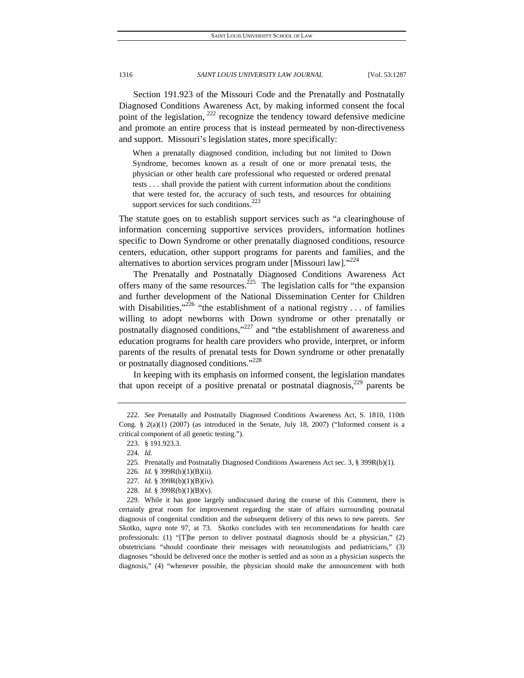Section 191.923 of the Missouri Code and the Prenatally and Postnatally Diagnosed Conditions Awareness Act, by making informed consent the focal point of the legislation,  $^{222}$  recognize the tendency toward defensive medicine and promote an entire process that is instead permeated by non-directiveness and support. Missouri's legislation states, more specifically:

When a prenatally diagnosed condition, including but not limited to Down Syndrome, becomes known as a result of one or more prenatal tests, the physician or other health care professional who requested or ordered prenatal tests . . . shall provide the patient with current information about the conditions that were tested for, the accuracy of such tests, and resources for obtaining support services for such conditions.<sup>223</sup>

The statute goes on to establish support services such as "a clearinghouse of information concerning supportive services providers, information hotlines specific to Down Syndrome or other prenatally diagnosed conditions, resource centers, education, other support programs for parents and families, and the alternatives to abortion services program under [Missouri law]."224

The Prenatally and Postnatally Diagnosed Conditions Awareness Act offers many of the same resources.<sup>225</sup> The legislation calls for "the expansion" and further development of the National Dissemination Center for Children with Disabilities,"<sup>226</sup> "the establishment of a national registry . . . of families willing to adopt newborns with Down syndrome or other prenatally or postnatally diagnosed conditions,"<sup>227</sup> and "the establishment of awareness and education programs for health care providers who provide, interpret, or inform parents of the results of prenatal tests for Down syndrome or other prenatally or postnatally diagnosed conditions."<sup>228</sup>

In keeping with its emphasis on informed consent, the legislation mandates that upon receipt of a positive prenatal or postnatal diagnosis, $^{229}$  parents be

<sup>222</sup>*. See* Prenatally and Postnatally Diagnosed Conditions Awareness Act, S. 1810, 110th Cong.  $\S$  2(a)(1) (2007) (as introduced in the Senate, July 18, 2007) ("Informed consent is a critical component of all genetic testing.").

 <sup>223. § 191.923.3.</sup> 

<sup>224</sup>*. Id.*

 <sup>225.</sup> Prenatally and Postnatally Diagnosed Conditions Awareness Act sec. 3, § 399R(b)(1).

<sup>226</sup>*. Id.* § 399R(b)(1)(B)(ii).

<sup>227</sup>*. Id.* § 399R(b)(1)(B)(iv).

<sup>228</sup>*. Id.* § 399R(b)(1)(B)(v).

 <sup>229.</sup> While it has gone largely undiscussed during the course of this Comment, there is certainly great room for improvement regarding the state of affairs surrounding postnatal diagnosis of congenital condition and the subsequent delivery of this news to new parents. *See* Skotko, *supra* note 97, at 73. Skotko concludes with ten recommendations for health care professionals: (1) "[T]he person to deliver postnatal diagnosis should be a physician," (2) obstetricians "should coordinate their messages with neonatologists and pediatricians," (3) diagnoses "should be delivered once the mother is settled and as soon as a physician suspects the diagnosis," (4) "whenever possible, the physician should make the announcement with both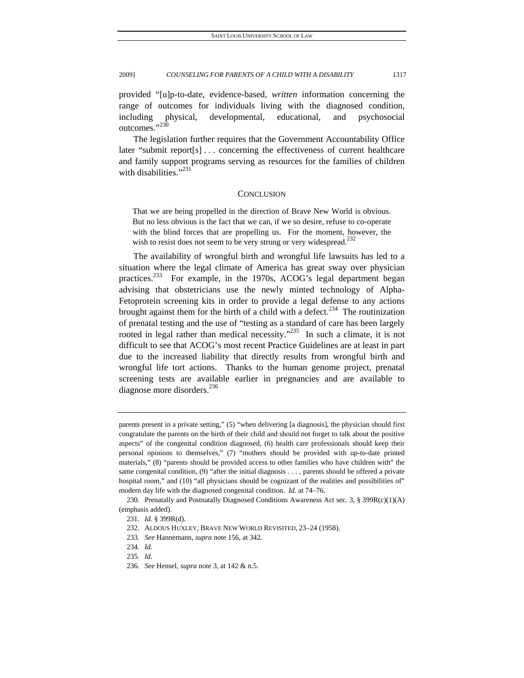provided "[u]p-to-date, evidence-based, *written* information concerning the range of outcomes for individuals living with the diagnosed condition, including physical, developmental, educational, and psychosocial outcomes."<sup>230</sup>

The legislation further requires that the Government Accountability Office later "submit report[s]... concerning the effectiveness of current healthcare and family support programs serving as resources for the families of children with disabilities."<sup>231</sup>

### **CONCLUSION**

That we are being propelled in the direction of Brave New World is obvious. But no less obvious is the fact that we can, if we so desire, refuse to co-operate with the blind forces that are propelling us. For the moment, however, the wish to resist does not seem to be very strong or very widespread.<sup>232</sup>

The availability of wrongful birth and wrongful life lawsuits has led to a situation where the legal climate of America has great sway over physician practices.<sup>233</sup> For example, in the 1970s, ACOG's legal department began advising that obstetricians use the newly minted technology of Alpha-Fetoprotein screening kits in order to provide a legal defense to any actions brought against them for the birth of a child with a defect.<sup>234</sup> The routinization of prenatal testing and the use of "testing as a standard of care has been largely rooted in legal rather than medical necessity."<sup>235</sup> In such a climate, it is not difficult to see that ACOG's most recent Practice Guidelines are at least in part due to the increased liability that directly results from wrongful birth and wrongful life tort actions. Thanks to the human genome project, prenatal screening tests are available earlier in pregnancies and are available to diagnose more disorders.<sup>236</sup>

parents present in a private setting," (5) "when delivering [a diagnosis], the physician should first congratulate the parents on the birth of their child and should not forget to talk about the positive aspects" of the congenital condition diagnosed, (6) health care professionals should keep their personal opinions to themselves," (7) "mothers should be provided with up-to-date printed materials," (8) "parents should be provided access to other families who have children with" the same congenital condition, (9) "after the initial diagnosis . . . , parents should be offered a private hospital room," and (10) "all physicians should be cognizant of the realities and possibilities of" modern day life with the diagnosed congenital condition. *Id.* at 74–76.

 <sup>230.</sup> Prenatally and Postnatally Diagnosed Conditions Awareness Act sec. 3, § 399R(c)(1)(A) (emphasis added).

<sup>231</sup>*. Id.* § 399R(d).

 <sup>232.</sup> ALDOUS HUXLEY, BRAVE NEW WORLD REVISITED, 23–24 (1958).

<sup>233</sup>*. See* Hannemann, *supra* note 156, at 342.

<sup>234</sup>*. Id.*

<sup>235</sup>*. Id.*

<sup>236</sup>*. See* Hensel, *supra* note 3, at 142 & n.5.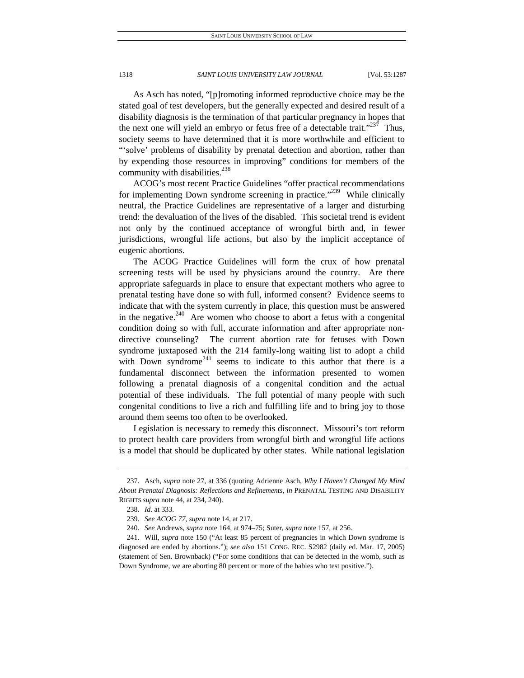As Asch has noted, "[p]romoting informed reproductive choice may be the stated goal of test developers, but the generally expected and desired result of a disability diagnosis is the termination of that particular pregnancy in hopes that the next one will yield an embryo or fetus free of a detectable trait."<sup>237</sup> Thus, society seems to have determined that it is more worthwhile and efficient to "'solve' problems of disability by prenatal detection and abortion, rather than by expending those resources in improving" conditions for members of the community with disabilities. $238$ 

ACOG's most recent Practice Guidelines "offer practical recommendations for implementing Down syndrome screening in practice. $1239$  While clinically neutral, the Practice Guidelines are representative of a larger and disturbing trend: the devaluation of the lives of the disabled. This societal trend is evident not only by the continued acceptance of wrongful birth and, in fewer jurisdictions, wrongful life actions, but also by the implicit acceptance of eugenic abortions.

The ACOG Practice Guidelines will form the crux of how prenatal screening tests will be used by physicians around the country. Are there appropriate safeguards in place to ensure that expectant mothers who agree to prenatal testing have done so with full, informed consent? Evidence seems to indicate that with the system currently in place, this question must be answered in the negative.<sup>240</sup> Are women who choose to abort a fetus with a congenital condition doing so with full, accurate information and after appropriate nondirective counseling? The current abortion rate for fetuses with Down syndrome juxtaposed with the 214 family-long waiting list to adopt a child with Down syndrome<sup>241</sup> seems to indicate to this author that there is a fundamental disconnect between the information presented to women following a prenatal diagnosis of a congenital condition and the actual potential of these individuals. The full potential of many people with such congenital conditions to live a rich and fulfilling life and to bring joy to those around them seems too often to be overlooked.

Legislation is necessary to remedy this disconnect. Missouri's tort reform to protect health care providers from wrongful birth and wrongful life actions is a model that should be duplicated by other states. While national legislation

 <sup>237.</sup> Asch, *supra* note 27, at 336 (quoting Adrienne Asch, *Why I Haven't Changed My Mind About Prenatal Diagnosis: Reflections and Refinements*, *in* PRENATAL TESTING AND DISABILITY RIGHTS *supra* note 44, at 234, 240).

<sup>238</sup>*. Id.* at 333.

<sup>239</sup>*. See ACOG 77*, *supra* note 14, at 217.

<sup>240</sup>*. See* Andrews, *supra* note 164, at 974–75; Suter, *supra* note 157, at 256.

 <sup>241.</sup> Will, *supra* note 150 ("At least 85 percent of pregnancies in which Down syndrome is diagnosed are ended by abortions."); *see also* 151 CONG. REC. S2982 (daily ed. Mar. 17, 2005) (statement of Sen. Brownback) ("For some conditions that can be detected in the womb, such as Down Syndrome, we are aborting 80 percent or more of the babies who test positive.").